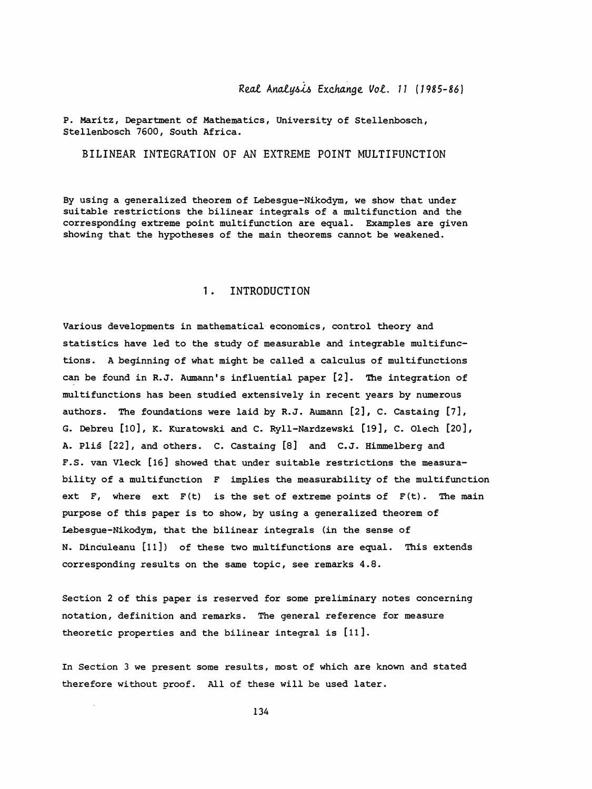p. Maritz, Department of Mathematics, University of Stellenbosch, Stellenbosch 7600, South Africa.

BILINEAR INTEGRATION OF AN EXTREME POINT MULTIFUNCTION

 By using a generalized theorem of Lebesgue-Nikodym, we show that under suitable restrictions the bilinear integrals of a multifunction and the corresponding extreme point multifunction are equal. Examples are given showing that the hypotheses of the main theorems cannot be weakened.

# 1. INTRODUCTION

 Various developments in mathematical economics, control theory and statistics have led to the study of measurable and integrable multifunc tions. A beginning of what might be called a calculus of multifunctions can be found in R.J. Aumann's influential paper [2]. The integration of multifunctions has been studied extensively in recent years by numerous authors. The foundations were laid by R.J. Aumann [2], C. Castaing [7], G. Debreu [10], K. Kuratowski and C. Ryll-Nàrdzewski [19], C. Olech [20], A. Plis [22], and others. C. Castaing [8] and C.J. Himmelberg and F.S. van Vleck [16] showed that under suitable restrictions the measura bility of a multifunction F implies the measurability of the multifunction ext  $F$ , where ext  $F(t)$  is the set of extreme points of  $F(t)$ . The main purpose of this paper is to show, by using a generalized theorem of Lebesgue-Nikodym, that the bilinear integrals (in the sense of N. Dinculeanu [11]) of these two multifunctions are equal. This extends corresponding results on the same topic, see remarks 4.8.

 Section 2 of this paper is reserved for some preliminary notes concerning notation, definition and remarks. The general reference for measure theoretic properties and the bilinear integral is [11 ].

In Section 3 we present some results, most of which are known and stated therefore without proof. All of these will be used later.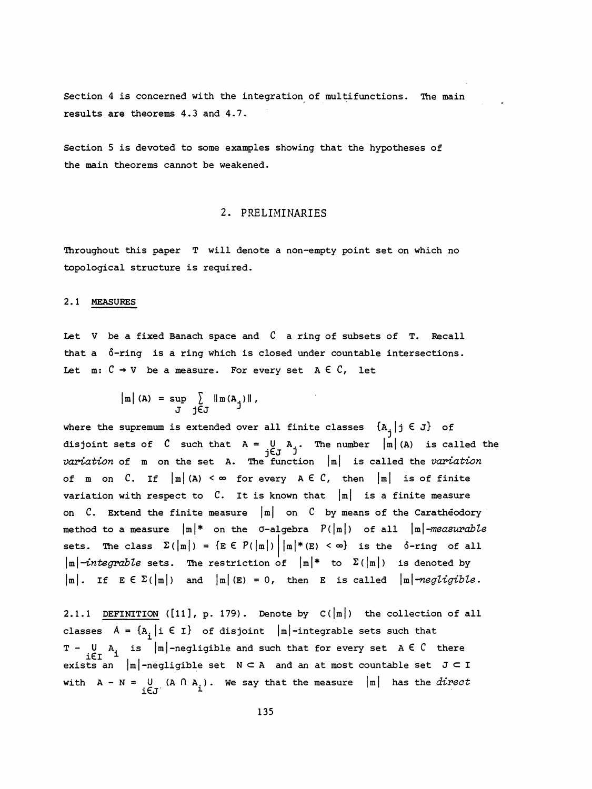Section 4 is concerned with the integration of multifunctions. The main results are theorems 4.3 and 4.7.

 Section 5 is devoted to some examples showing that the hypotheses of the main theorems cannot be weakened.

# 2. PRELIMINARIES

 Throughout this paper T will denote a non-empty point set on which no topological structure is required.

## 2.1 MEASURES

Let V be a fixed Banach space and  $C$  a ring of subsets of T. Recall that a 6-ring is a ring which is closed under countable intersections. Let  $m: \mathcal{C} \to V$  be a measure. For every set  $A \in \mathcal{C}$ , let

$$
\begin{array}{rcl}\n\left|\mathbf{m}\right| & \text{(A)} &=& \text{sup} \quad \sum_{j \in J} \quad \left|\mathbf{m} \left(\mathbf{A}_j\right)\right| \, , \\
\mathbf{J} & & \text{if } \n\end{array}
$$

where the supremum is extended over all finite classes  $\{A_j | j \in J\}$  of disjoint sets of  $C$  such that  $A = U A$ . The number  $|m| (A)$  is called the<br>jej j<br>wariation of m on the set A. The function  $|m|$  is called the variation variation of  $m$  on the set A. The function  $|m|$  is called the variation of m on C. If  $|m|$  (A) <  $\infty$  for every A  $\in$  C, then  $|m|$  is of finite variation with respect to  $C$ . It is known that  $|m|$  is a finite measure on  $C$ . Extend the finite measure  $|m|$  on  $C$  by means of the Carathéodory method to a measure  $|m|*$  on the  $\sigma$ -algebra  $P(|m|)$  of all  $|m|$ -measurable sets. The class  $\Sigma(|m|) = \{E \in P(|m|) \mid |m|*(E) < \infty\}$  is the  $\delta$ -ring of all  $|\text{m}|$ -integrable sets. The restriction of  $|\text{m}|^*$  to  $\Sigma(|\text{m}|)$  is denoted by  $|m|$ . If  $E \in \Sigma(|m|)$  and  $|m| (E) = 0$ , then E is called  $|m|$ -negligible.

2.1.1 DEFINITION ( $[11]$ , p. 179). Denote by  $C(|m|)$  the collection of all classes  $A = \{A^k, i \in I\}$  of disjoint  $|m|$ -integrable sets such that  $T - U$  A<sub>i</sub> is  $|m|$ -negligible and such that for every set A  $\in$  C there exists an  $|m|$ -negligible set  $N \subset A$  and an at most countable set  $J \subset I$ with  $A - N = U (A \cap A_i)$ . We say that the measure  $|m|$  has the *direct*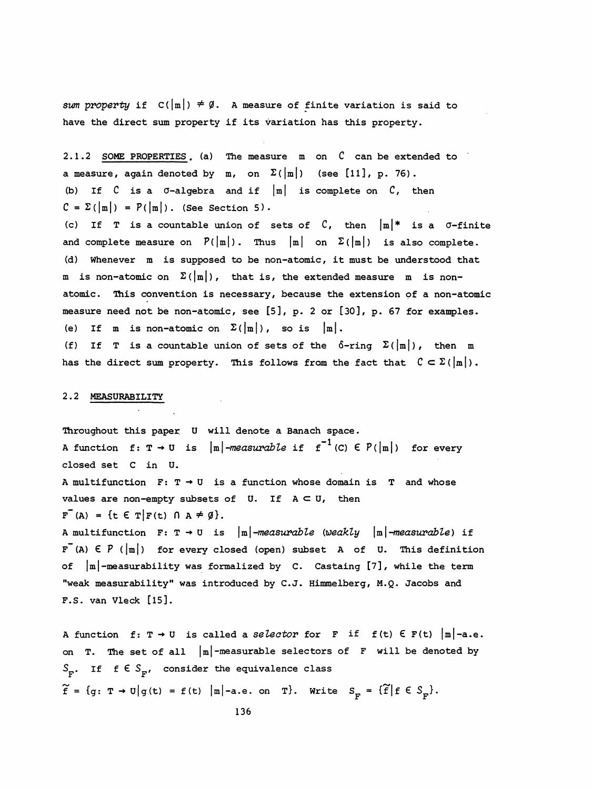sum property if  $C(\vert m\vert) \neq \emptyset$ . A measure of finite variation is said to have the direct sum property if its variation has this property.

2.1.2 SOME PROPERTIES, (a) The measure m on  $C$  can be extended to a measure, again denoted by m, on  $\Sigma(|m|)$  (see [11], p. 76). (b) If  $C$  is a  $\sigma$ -algebra and if  $|m|$  is complete on  $C$ , then  $C = \Sigma(|m|) = P(|m|)$ . (See Section 5). (c) If T is a countable union of sets of  $C$ , then  $|m|*$  is a  $\sigma$ -finite and complete measure on  $P(|m|)$ . Thus  $|m|$  on  $\Sigma(|m|)$  is also complete. (d) Whenever m is supposed to be non-atomic, it must be understood that m is non-atomic on  $\Sigma\left(\left|\frac{m}{m}\right|\right)$ , that is, the extended measure  $m$  is non atomic. This convention is necessary, because the extension of a non-atomic measure need not be non-atomic, see [5], p. 2 or [30], p. 67 for examples. (e) If m is non-atomic on  $\Sigma(\vert m\vert)$ , so is  $\vert m\vert$ .

(f) If T is a countable union of sets of the  $\delta$ -ring  $\Sigma(\frac{m}{m})$ , then m has the direct sum property. This follows from the fact that  $C \subset \Sigma(|m|)$ .

## 2.2 MEASURABILITY

 Throughout this paper U will denote a Banach space. A function f:  $T \rightarrow U$  is  $|m|$ -measurable if  $f^{-1}(C) \in P(|m|)$  for every closed set C in U. A multifunction  $F: T \rightarrow U$  is a function whose domain is T and whose values are non-empty subsets of U. If  $A \subset U$ , then  $F^{-}(A) = \{t \in T | F(t) \cap A \neq \emptyset\}.$ A multifunction  $F: T \rightarrow U$  is  $|m|$ -measurable (weakly  $|m|$ -measurable) if  $F^{-}(A) \in P$  ( $|m|$ ) for every closed (open) subset A of U. This definition of  $|m|$ -measurability was formalized by  $C$ . Castaing  $[7]$ , while the term "weak measur abi lity" was introduced by C.J. Himmelberg, M.Q. Jacobs and F.S. van Vleck [15].

A function f:  $T \rightarrow U$  is called a selector for F if f(t)  $\in$  F(t)  $|m|$ -a.e. on T. The set of all  $|m|$ -measurable selectors of F will be denoted by  $S_p$ . If f  $\epsilon S_p$ , consider the equivalence class  $\widetilde{f} = \{g: \ T \rightarrow U \big| g(t) = f(t) \big| \|\mathbf{m}\| - a.e. \text{ on } T\}.$  Write  $S_{\mathbf{p}} = \{\widetilde{f} \big| f \in S_{\mathbf{p}}\}.$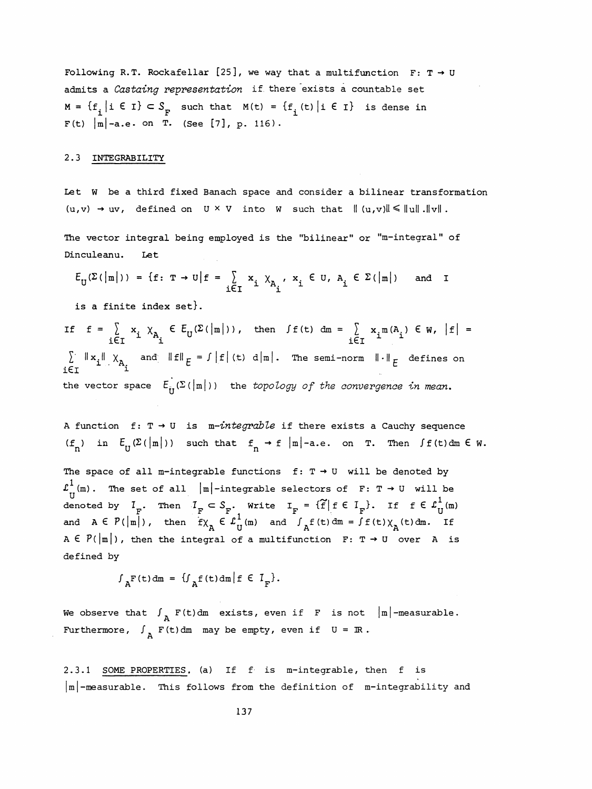Following R.T. Rockafellar [25], we way that a multifunction  $F: T \rightarrow U$ admits a Castaing representation if there exists a countable set  $M = {f_i | i \in I} \subset S_F$  such that  $M(t) = {f_i(t) | i \in I}$  is dense in  $F(t) | m |$ -a.e. on T. (See [7], p. 116). Following R.T. Rockafellar [25], we way that a multifunction F: T  $\rightarrow$  U<br>admits a *Castaing representation* if there exists a countable set<br> $M = \{f_i | i \in I\} \subset S_F$  such that  $M(t) = \{f_i(t) | i \in I\}$  is dense in<br> $F(t) |m| - a.e.$  on T.

#### 2.3 INTEGRABILITY

 Let W be a third fixed Banach space and consider a bilinear transformation  $(u,v) \rightarrow uv$ , defined on  $U \times V$  into W such that  $|| (u,v) || \le ||u||$ .  $||v||$ .

 The vector integral being employed is the "bilinear" or "m-integral" of Dinculeanu. Let

$$
E_{\mathbf{U}}(\Sigma(\left|\mathbf{m}\right|)) = \{\mathbf{f}: \mathbf{T} \to \mathbf{U} \mid \mathbf{f} = \sum_{i \in \mathbf{I}} x_i \chi_{A_i}, x_i \in \mathbf{U}, A_i \in \Sigma(\left|\mathbf{m}\right|) \text{ and } \mathbf{I}
$$

is a finite index set}.

If  $f = \sum_{i \in \tau} x_i \chi_{A_i} \in E_U(\Sigma(\vert m \vert))$ , then  $\int f(t) \, dm = \sum_{i \in \tau} x_i m(A_i) \in W$ ,  $|f| =$  $\sum_{i \in I} ||x_i|| ||x_i|| \times x_i$  and  $||f||_E = \int |f| (t) d||m|$ . The semi-norm  $|| \cdot ||_E$  defines on  $\lim_{i \in I} ||x_i|| \times x_i$ the vector space  $E^{\dagger}_{\text{tr}}(\Sigma(|m|))$  the topology of the convergence in mean.

A function f:  $T \rightarrow U$  is m-integrable if there exists a Cauchy sequence  $(f_n)$  in  $E_U(\Sigma(|m|))$  such that  $f_n \to f |m|$ -a.e. on T. Then  $\int f(t) dm \in W$ .

The space of all m-integrable functions  $f: T \rightarrow U$  will be denoted by  $\mathcal{L}_{\Pi}^1$ (m). The set of all  $|m|$ -integrable selectors of F: T  $\rightarrow$  U will be denoted by  $I_F$ . Then  $I_F \subset S_F$ . Write  $I_F = {\tilde{f} | f \in I_F}$ . If  $f \in L_U^1(m)$ <br>and  $A \in P(|m|)$ , then  $f \chi_A \in L_U^1(m)$  and  $\int_A f(t) dm = \int f(t) \chi_A(t) dm$ . If The space of all m-integrable functions  $f: T \rightarrow U$  will be denoted by<br>  $L^1(m)$ . The set of all  $|m|$ -integrable selectors of  $F: T \rightarrow U$  will be<br>
denoted by  $I_p$ . Then  $I_p \subset S_p$ . Write  $I_p = \{\tilde{f} | f \in I_p\}$ . If  $f \in L^1_{U}(m)$ <br>
and The space of all m-integrable functions  $f: T \rightarrow U$  will be denoted by<br>  $L^1_{U}$ (m). The set of all  $|m|$ -integrable selectors of  $F: T \rightarrow U$  will be<br>
denoted by  $I_F$ . Then  $I_F \subset S_F$ . Write  $I_F = \{f | f \in I_F\}$ . If  $f \in L^1_{U}(m)$ <br>
and defined by

 $\int_{A} F(t) dm = \left\{ \int_{A} f(t) dm \middle| f \in T_{F} \right\}.$ 

We observe that  $\int_{R} F(t) dm$  exists, even if F is not  $|m|$ -measurable. Furthermore,  $\int_{\Delta}$  F(t)dm may be empty, even if  $U = \mathbb{R}$ .

 2.3.1 SOME PROPERTIES, (a) If f is m-integrable, then f is  $\lfloor m \rfloor$ -measurable. This follows from the definition of m-integrability and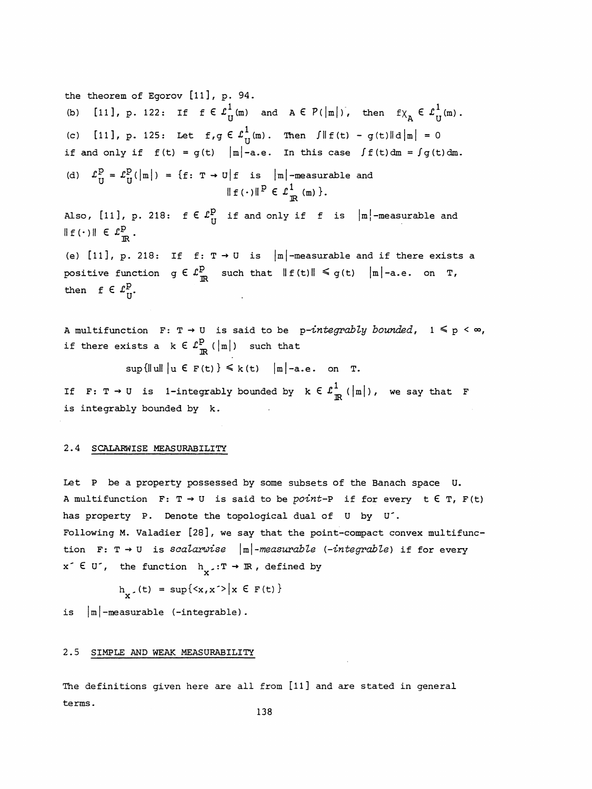the theorem of Egorov  $[11]$ , p. 94. (b) [11], p. 122: If  $f \in L^1_{U}(m)$  and  $A \in P(|m|)$ , then  $f \chi_{\mathbf{A}} \in L^1_{U}(m)$ . (c) [11], p. 125: Let  $f, g \in L^1_{U}(m)$ . Then  $\int ||f(t) - g(t)||d|m| = 0$ if and only if  $f(t) = g(t) |m|$ -a.e. In this case  $\int f(t) dm = \int g(t) dm$ . (d)  $\mathcal{L}_{U}^{p} = \mathcal{L}_{U}^{p}(|m|) = \{f: T \rightarrow U | f \text{ is } |m| \text{-measurable and} \}$  $\parallel f(\cdot)\parallel^2 \in L_{\mathbb{R}}^-(m)$  }. Also, [11], p. 218:  $f \in L^p_U$  if and only if f is  $|m|$ -measurable and  $\|f(\cdot)\| \in L^p_{\mathbb{R}}$ . (e) [11], p. 218: If  $f: T \rightarrow U$  is  $|m|$ -measurable and if there exists a positive function  $g \in L^p_{\mathbb{R}}$  such that  $||f(t)|| \leq g(t)$   $||m|-a.e.$  on T, then  $f \in \mathcal{L}_{H}^{p}$ .

A multifunction F: T  $\rightarrow$  U is said to be p-integrably bounded,  $1 \leq p \leq \infty$ , if there exists a  $k \in \mathcal{L}_{\mathbb{R}}^{\mathbb{P}}$  ( $|\mathbb{m}|$ ) such that

 $\sup\{\|u\| \mid u \in F(t)\}\leq k(t) \quad |m|-\text{a.e. on } T.$ 

If F: T  $\rightarrow$  U is 1-integrably bounded by  $k \in \mathcal{L}^1_{\mathbb{R}}(|m|)$ , we say that F is integrably bounded by k.

#### 2.4 SCALARWISE MEASURABILITY

 Let P be a property possessed by some subsets of the Banach space U. A multifunction F: T  $\rightarrow$  U is said to be point-P if for every t  $\epsilon$  T, F(t) has property P. Denote the topological dual of U by U'. Following M. Valadier [28], we say that the point-compact convex multifunc tion F: T  $\rightarrow$  U is scalarwise  $|m|$ -measurable (-integrable) if for every x e U, the function  $h_x$ :  $T \rightarrow \mathbb{R}$ , defined by<br>  $h_x$ , (t) = sup{<x,x<sup>-></sup>|x  $\in$  F(t) }

$$
h_{1}(t) = \sup\{ \langle x, x \rangle | x \in F(t) \}
$$

 $h_x$ . (t) = sup{ $\langle x, x \rangle$  |x E F(t) }<br>is |m|-measurable (-integrable).

## 2.5 SIMPLE AND WEAK MEASURABILITY

The definitions given here are all from [11] and are stated in general terms.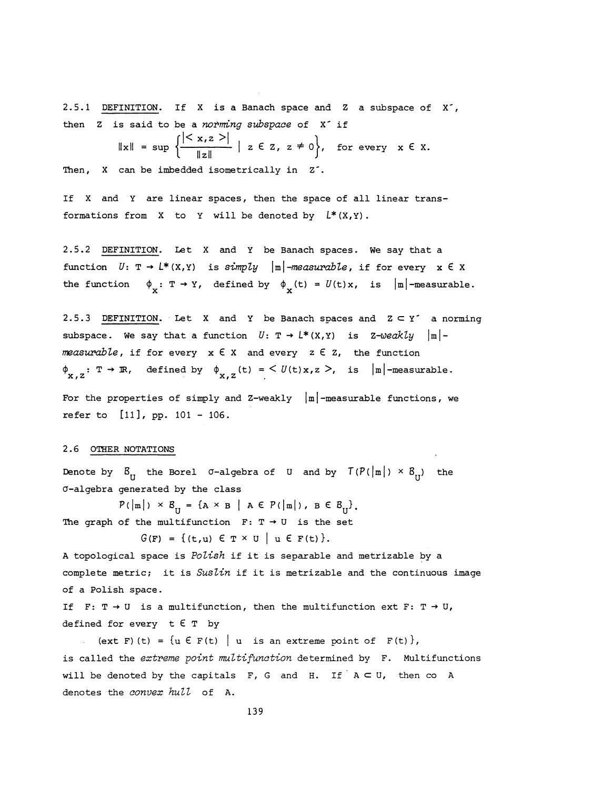2.5.1 DEFINITION. If X is a Banach space and Z a subspace of X", then Z is said to be a *norming subspace* of X if<br>  $\|x\| = \sup \left\{ \frac{|\langle x, z \rangle|}{\sqrt{2\pi}} | z \in \mathbb{Z}, z \neq 0 \right\}, \text{ for }$ 

$$
= \sup \left\{ \frac{|< x, z >|}{\|z\|} \mid z \in \mathbb{Z}, z \neq 0 \right\}, \text{ for every } x \in \mathbb{X}.
$$

Then, X can be imbedded isometrically in Z<sup>-</sup>.

 If X and Y are linear spaces, then the space of all linear trans formations from X to Y will be denoted by  $L^*(X,Y)$ .

 2.5.2 DEFINITION. Let X and Y be Banach spaces. We say that a function  $U: \mathbb{T} \to L^*(X,Y)$  is simply  $|\mathbb{m}|$ -measurable, if for every  $x \in X$ the function  $\phi_{\psi}: \mathbb{T} \to Y$ , defined by  $\phi_{\psi}(t) = U(t)x$ , is  $|m|$ -measurable.

2.5.3 DEFINITION. Let X and Y be Banach spaces and  $Z \subset Y'$  a norming subspace. We say that a function  $U: \mathbb{T} \to L^*(X,Y)$  is Z-weakly  $|\mathbb{m}|$ measurable, if for every  $x \in X$  and every  $z \in Z$ , the function  $\phi_{\mathbf{x},z} : \mathbb{T} \to \mathbb{R}$ , defined by  $\phi_{\mathbf{x},z}$  (t) = <  $U(\mathsf{t})\mathbb{x},z$  >, is  $|\mathbb{m}|$ -measurable. measurable, if for every  $x \in X$  and every  $z \in Z$ , the function<br>  $\phi_{x,z}: T \to \mathbb{R}$ , defined by  $\phi_{x,z}(t) = \langle U(t)x, z \rangle$ , is  $|\mathbb{m}|$ -measurable.<br>
For the properties of simply and Z-weakly  $|\mathbb{m}|$ -measurable functions, we<br>
ref

refer to [11 ], pp. 101 - 106.

## 2.6 OTHER NOTATIONS

 $\|x\|$ 

Denote by  $B_{\text{rt}}$  the Borel  $\sigma$ -algebra of U and by  $T(P(|m|) \times B_{\text{rt}})$  the a-algebra generated by the class

 $P(|m|) \times B_{11} = {A \times B | A \in P(|m|) , B \in B_{1} }.$ The graph of the multifunction  $F: T \rightarrow U$  is the set

 $G(F) = \{ (t, u) \in T \times U \mid u \in F(t) \}.$ 

A topological space is Polish if it is separable and metrizable by a complete metric; it is Suslin if it is metrizable and the continuous image of a Polish space.

If F:  $T \rightarrow U$  is a multifunction, then the multifunction ext F:  $T \rightarrow U$ , defined for every  $t \in T$  by

(ext F) (t) =  $\{u \in F(t) \mid u$  is an extreme point of  $F(t)$ , is called the extreme point multifunction determined by F. Multifunctions will be denoted by the capitals  $F$ , G and H. If  $A \subset U$ , then co A denotes the *convex hull* of A.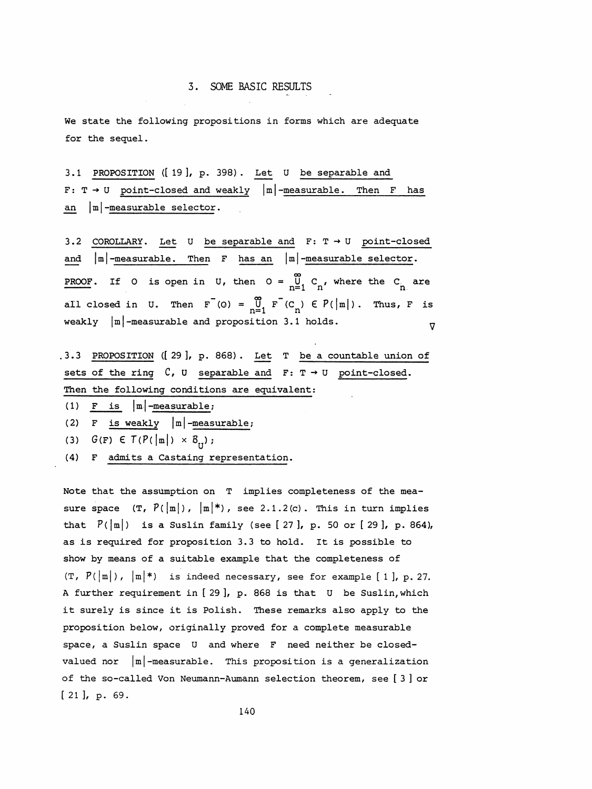We state the following propositions in forms which are adequate for the sequel.

 3.1 PROPOSITION ([19], p. 398). Let U be separable and  $F: T \rightarrow U$  point-closed and weakly  $|m|$ -measurable. Then F has an  $|m|$ -measurable selector.

3.2 COROLLARY. Let U be separable and  $F: T \rightarrow U$  point-closed and  $|m|$ -measurable. Then F has an  $|m|$ -measurable selector. PROOF. If O is open in U, then  $O = \bigcup_{n=1}^{\infty} C_n$ , where the  $C_n$  are 3. SOME ENSIC RESOLUS<br>
We state the following propositions in forms which are adequate<br>
for the sequel.<br>
3.1 PROPOSITION (19), p. 398). Let U be separable and<br>
F: T + U <u>point-closed and weakly</u>  $|\mathbf{m}|$ -measurable. Then all closed in U. Then  $F^{-}(0) = \bigcup_{n=1}^{\infty} F^{-}(C_n) \in P(|m|)$ . Thus, F is<br>weakly  $|m|$ -measurable and proposition 3.1 holds.  $\nabla$ 

- .3.3 PROPOSITION ([29], p. 868). Let T be a countable union of sets of the ring  $C$ ,  $U$  separable and  $F: T \rightarrow U$  point-closed. Then the following conditions are equivalent:
- (1) F is  $|m|$ -measurable;
- (2) F is weakly  $|m|$ -measurable;
- (3)  $G(F) \in T(P(\left|\mbox{\scriptsize m}\right|) \times B_{_{\mathrm{II}}})$ ;
- (4) F admits a Castaing representation.

Note that the assumption on T implies completeness of the measure space  $(T, P(\vert m \vert), \vert m \vert^*)$ , see 2.1.2(c). This in turn implies that  $P(\vert m \vert)$  is a Suslin family (see [ 27 ], p. 50 or [ 29 ], p. 864), as is required for proposition 3.3 to hold. It is possible to show by means of a suitable example that the completeness of  $(T, P(\lfloor m \rfloor), \lfloor m \rfloor^*)$  is indeed necessary, see for example [1], p. 27. A further requirement in [ 29 ], p. 868 is that U be Suslin, which it surely is since it is Polish. These remarks also apply to the proposition below, originally proved for a complete measurable space, a Suslin space U and where F need neither be closed valued nor  $|m|$ -measurable. This proposition is a generalization of the so-called Von Neumann-Aumann selection theorem, see [ 3 ] or [ 21 ], p. 69.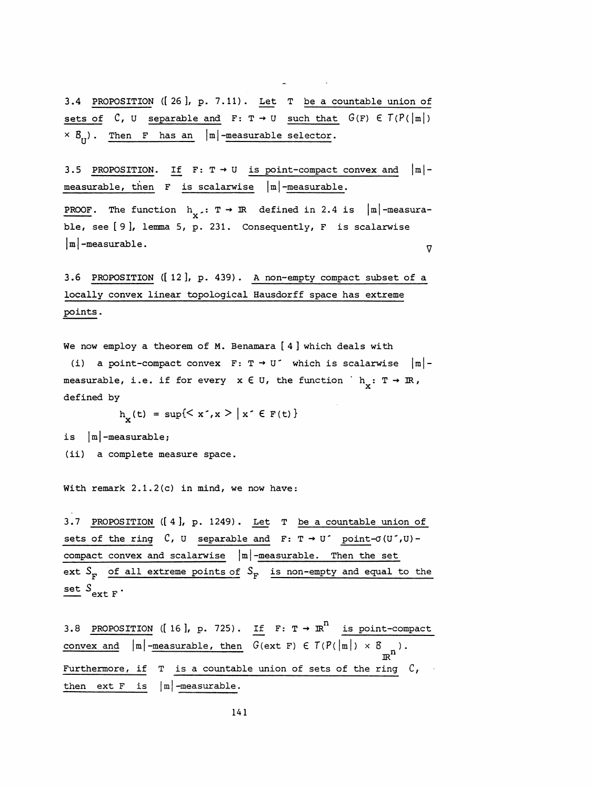3.4 PROPOSITION ([26], p. 7.11). Let T be a countable union of sets of  $C$ , U separable and  $F: T \rightarrow U$  such that  $G(F) \in T(P(\vert m \vert))$  $\times$   $B_{r}$ ). Then F has an |m|-measurable selector.

3.5 PROPOSITION. If  $F: T \rightarrow U$  is point-compact convex and  $|m|$ measurable, then  $F$  is scalarwise  $|m|$ -measurable.

**PROOF.** The function  $h_{\nu} : T \rightarrow \mathbb{R}$  defined in 2.4 is  $|\mathbb{m}|$ -measurable, see [9], lemma 5, p. 231. Consequently, F is scalarwise<br>|m|-measurable.  $\triangledown$ 

 3.6 PROPOSITION ([12], p. 439). A non-empty compact subset of a locally convex linear topological Hausdorff space has extreme points .

We now employ a theorem of M. Benamara [ 4 ] which deals with

(i) a point-compact convex  $F: T \rightarrow U'$  which is scalarwise  $|m|$ measurable, i.e. if for every  $x \in U$ , the function  $h_x: T \to \mathbb{R}$ , defined by

 $h_x(t) = \sup\{< x^*, x^*|x^* \in F(t)\}\$ 

is  $|m|$ -measurable;

(ii) a complete measure space.

With remark 2.1.2(c) in mind, we now have:

 3.7 PROPOS ITION ([4], p. 1249). Let T be a countable union of sets of the ring  $C$ , U separable and  $F: T \rightarrow U'$  point- $\sigma(U',U)$ compact convex and scalarwise  $|m|$ -measurable. Then the set ext  $S_F$  of all extreme points of  $S_F$  is non-empty and equal to the set  $S_{\text{ext F}}$ .

3.8 PROPOSITION ([16], p. 725). If  $F: T \rightarrow R^n$  is point-compact 3.8 PROPOSITION ([16], p. 725). If  $F: T \to \mathbb{R}^n$  is point-compact<br>convex and  $|\mathfrak{m}|$ -measurable, then  $G(\text{ext } F) \in T(P(|\mathfrak{m}|) \times B_{\mathbb{R}^n})$ .  $|\mathbf{m}|$ -measurable, then  $G(\text{ext } F) \in T(P(|\mathbf{m}|) \times B_{n})$ . Furthermore, if  $T$  is a countable union of sets of the ring  $C$ , then ext  $F$  is  $|m|$ -measurable.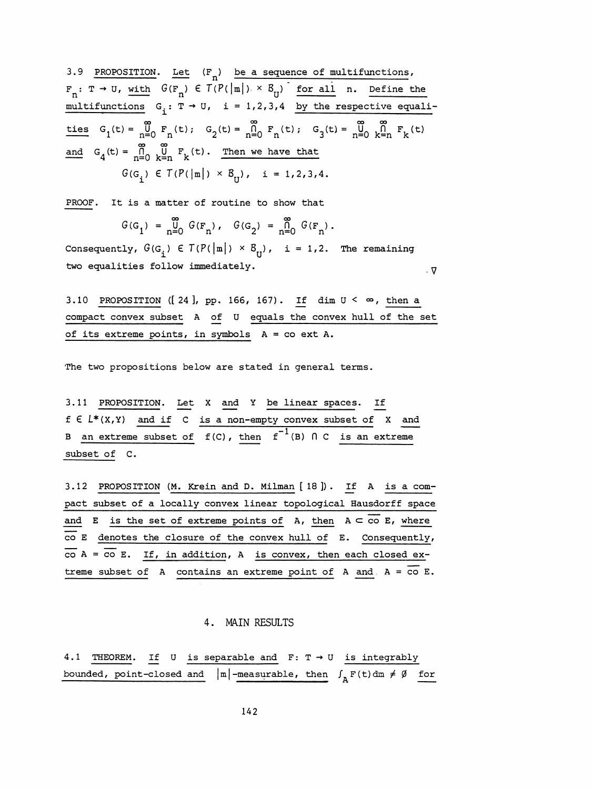3.9 PROPOSITION. Let  $(F_n)$  be a sequence of multifunctions, 3.9 PROPOSITION: Let  $(\Gamma_n)$  be a sequence of multifunctions,<br>  $F_n: T \rightarrow 0$ , with  $G(\Gamma_n) \in T(P(|n|) \times \mathcal{S}_0)$  for all n. Define the<br>
multifunctions  $G_i: T \rightarrow 0$ ,  $i = 1, 2, 3, 4$  by the respective equali-<br>
ties  $G_i(t) = \frac{G}{n} \int_0^$ 3.9 PROPOSITION. Let  $(\mathbf{F}_n)$  be a sequence of multifunctions,<br>  $\mathbf{F}_n: \mathbf{T} \to \mathbf{U}$ , with  $G(\mathbf{F}_n) \in \mathbf{T}(P(\|\mathbf{m}\|) \times \mathbf{S}_0)$  for all n. Define the<br>
multifunctions  $G_i: \mathbf{T} \to \mathbf{U}$ ,  $i = 1,2,3,4$  by the respecti  $F_n: T \to U$ , with  $G(F_n) \in T(P(|m|) \times B_U)$  for all n. Define the multifunctions  $G_i: T \to U$ ,  $i = 1,2,3,4$  by the respective equaliand  $G_4(t) = \bigcap_{n=0}^{\infty} \bigcup_{k=n}^{\infty} F_k(t)$ . Then we have that with  $G(\mathbf{F}_n) \in T(P(|\mathbf{m}|) \times \mathcal{B}_U)$  for all n. Define the<br>
ions  $G_i: T \to U$ ,  $i = 1,2,3,4$  by the respective equali-<br>  $G = \int_{n=0}^{\infty} F_n(t)$ ;  $G_2(t) = \int_{n=0}^{\infty} F_n(t)$ ;  $G_3(t) = \int_{n=0}^{\infty} \int_{k=n}^{\infty} F_k(t)$ <br>  $= \int_{n=0}^{\infty} \int_{k$ 

PROOF. It is a matter of routine to show that

$$
G(G_1) = \bigcup_{n=0}^{\infty} G(F_n), \quad G(G_2) = \bigcap_{n=0}^{\infty} G(F_n).
$$

 $G(G_1) = \frac{0}{n=0} G(F_n)$ ,  $G(G_2) = \frac{0}{n=0} G(F_n)$ .<br>Consequently,  $G(G_i) \in T(P(\vert m \vert) \times B_{ij})$ , i = 1,2. The remaining<br>two equalities follow immediately. two equalities follow immediately. y

3.10 PROPOSITION ([24], pp. 166, 167). If dim  $U < \infty$ , then a compact convex subset A of U equals the convex hull of the set of its extreme points, in symbols A = co ext A.

The two propositions below are stated in general terms.

 3.11 PROPOSITION. Let X and Y be linear spaces. If  $f \in L^*(X,Y)$  and if C is a non-empty convex subset of X and B an extreme subset of  $f(C)$ , then  $f^{-1}(B)$  n C is an extreme subset of C.

 3.12 PROPOSITION (M. Krein and D. Milman [ 18 ]) . If A is a com pact subset of a locally convex linear topological Hausdorff space and E is the set of extreme points of A, then  $A \subset \overline{co} E$ , where co E denotes the closure of the convex hull of E. Consequently,  $\overline{co}$  A =  $\overline{co}$  E. If, in addition, A is convex, then each closed extreme subset of A contains an extreme point of A and  $A = \overline{co} E$ .

## 4. MAIN RESULTS

4.1 THEOREM. If U is separable and  $F: T \rightarrow U$  is integrably bounded, point-closed and  $|m|$ -measurable, then  $\int_{A} F(t) dm \neq \emptyset$  for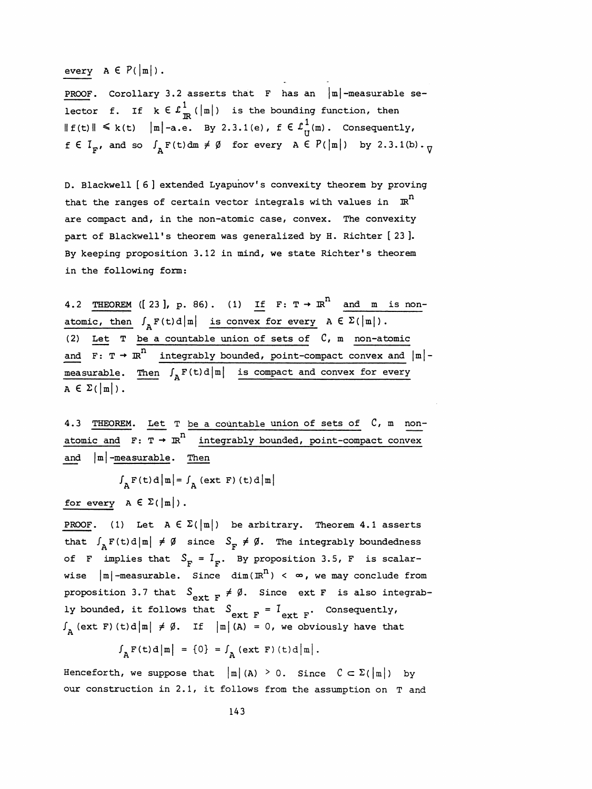every  $A \in P(\vert m \vert)$ .

PROOF. Corollary 3.2 asserts that F has an  $|\mathfrak{m}|$ -measurable selector f. If  $k \in \mathcal{L}_{\mathbb{R}}^1$  ( $|\mathbb{m}|$ ) is the bounding function, then  $\| f(t) \| \le k(t)$   $\| m \|$ -a.e. By 2.3.1(e),  $f \in L^1_{U}(m)$ . Consequently,  $f \in I_F$ , and so  $\int_{A} F(t) dm \neq \emptyset$  for every  $A \in P(|m|)$  by 2.3.1(b).

 D. Blackwell [6] extended Lyapunov's convexity theorem by proving that the ranges of certain vector integrals with values in  $\mathbb{R}^n$  are compact and, in the non-atomic case, convex. The convexity part of Blackwell's theorem was generalized by H. Richter [23]. By keeping proposition 3.12 in mind, we state Richter's theorem in the following form:

4.2 THEOREM ([23], p. 86). (1) If  $F: T \rightarrow \mathbb{R}^n$  and m is nonatomic, then  $J_A F(t) d|\mathfrak{m}|$  is convex for every  $A \in \mathcal{L}(|\mathfrak{m}|)$ . (2) Let  $T$  be a countable union of sets of  $C$ , m non-atomic and  $F: T \rightarrow \mathbb{R}^n$  integrably bounded, point-compact convex and  $|\mathbb{m}|$  measurable. Then  $\int_{A} F(t) d\vert \mathbb{n} \vert$  is compact and convex for every  $A \in \Sigma(|m|)$ .

 4.3 THEOREM. Let T be a countable union of sets of C, m non atomic and  $F: T \rightarrow \mathbb{R}^n$  integrably bounded, point-compact convex and  $|m|$ -measurable. Then

 $\int_{\Delta} F(t) d \vert m \vert = \int_{\Delta} (ext F) (t) d \vert m \vert$ 

for every  $A \in \Sigma(|m|)$ .

PROOF. (1) Let  $A \in \Sigma(\vert m \vert)$  be arbitrary. Theorem 4.1 asserts that  $\int_{A} F(t) d\|\mathbf{m}\| \neq \emptyset$  since  $S_{\mathbf{F}} \neq \emptyset$ . The integrably boundedness of F implies that  $S_F = I_F$ . By proposition 3.5, F is scalar-<br>wise  $|m|$ -measurable. Since  $dim(\mathbb{R}^n) < \infty$ , we may conclude from of F implies that  $S_F = I_F$ . By proposition 3.5, F is scalar-<br>wise  $|\mathbf{m}|$ -measurable. Since  $\dim(\mathbb{R}^n) < \infty$ , we may conclude from<br>proposition 3.7 that  $S = \nmid A$  since ext F is also integrabof F implies that  $S_F = I_F$ . By proposition 3.5, F is scalar-<br>wise  $|m|$ -measurable. Since  $\dim(\mathbb{R}^n) < \infty$ , we may conclude from<br>proposition 3.7 that  $S_{\text{ext } F} \neq \emptyset$ . Since ext F is also integrab-<br>ly bounded, it follows ly bounded, it follows that  $S_{\textbf{ext } F} = I_{\textbf{ext } F}$ . Consequently,  $\int_{A}$  (ext F) (t)d|m|  $\neq \emptyset$ . If |m| (A) = 0, we obviously have that

 $\int_{\mathbb{A}} \mathbf{F}(\mathbf{t}) \, \mathbf{d} \, |\mathbf{m}| = \{0\} = \int_{\mathbb{A}} (\text{ext } \mathbf{F}) (\mathbf{t}) \, \mathbf{d} \, |\mathbf{m}|.$ 

Henceforth, we suppose that  $|m|(A) \geq 0$ . Since  $C \subset \Sigma(|m|)$  by our construction in 2.1, it follows from the assumption on T and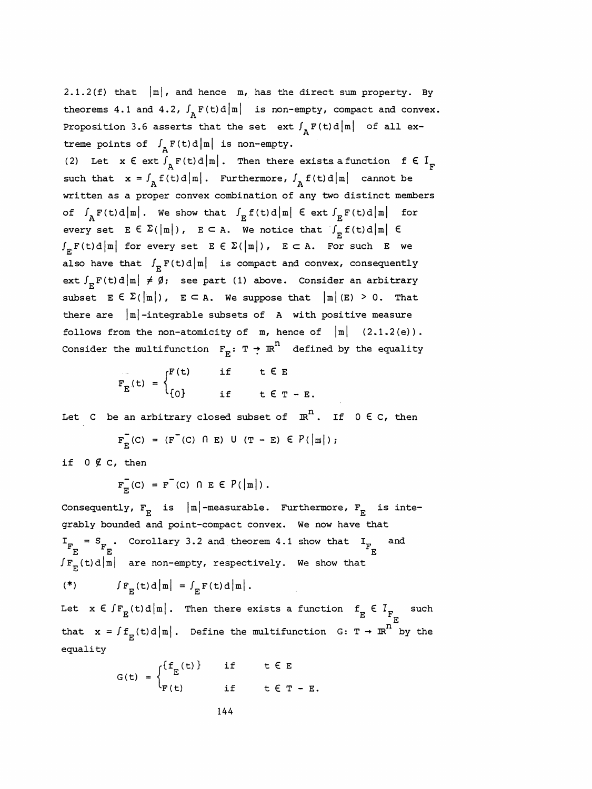2.1.2(f) that  $|m|$ , and hence m, has the direct sum property. By theorems 4.1 and 4.2,  $\int_\text{A} \text{F(t)d}|\text{m}|$  is non-empty, compact and convex. Proposition 3.6 asserts that the set ext  $\int_{\Delta} F(t) d|m|$  of all extreme points of  $\int_{A} F(t) d|m|$  is non-empty.

2.1.2(f) that  $|\mathbf{m}|$ , and hence  $\mathbf{m}$ , has the direct sum property. By<br>theorems 4.1 and 4.2,  $\int_{\mathbf{A}} \mathbf{F}(\mathbf{t})d|\mathbf{m}|$  is non-empty, compact and convex.<br>Proposition 3.6 asserts that the set  $\mathbf{ext} \int_{\mathbf{A}} \mathbf{F$ (2) Let  $x \in ext \int_{A} F(t) d|m|$ . Then there exists a function  $f \in I_{F}$ <br>such that  $x = \int_{A} f(t) d|m|$ . Furthermore,  $\int_{A} f(t) d|m|$  cannot be written as a proper convex combination of any two distinct members of  $\int_{\mathbb{R}} F(t) d \vert \mathbf{m} \vert$ . We show that  $\int_{\mathbb{E}} f(t) d \vert \mathbf{m} \vert$   $\in$  ext  $\int_{\mathbb{E}} F(t) d \vert \mathbf{m} \vert$  for every set  $\mathbb{E} \in \Sigma(\vert \mathbf{m} \vert)$ ,  $\mathbb{E} \subset \mathbb{A}$ . We notice that  $\int_{\mathbb{E}} f(t) d \vert \mathbf{m} \vert \in$ written as a proper convex combination of any two distinct members<br>of  $\int_{A} F(t) d \mid m \mid$ . We show that  $\int_{E} f(t) d \mid m \mid \infty$ <br>every set  $E \in \Sigma(\mid m \mid)$ ,  $E \subset A$ . We notice that  $\int_{E} f(t) d \mid m \mid \infty$ <br> $\int_{A} F(t) d \mid m \mid$  for every set  $\int_{E} F(t) d\|\mathbf{m}\|$  for every set  $E \in \Sigma(\|\mathbf{m}\|)$ ,  $E \subset A$ . For such E we also have that  $\int_E F(t) d\|\mathbf{m}\|$  is compact and convex, consequently ext  $\int_{\mathbb{R}} \mathbf{F}(t) d \, |\mathbf{m}| \neq \emptyset$ ; see part (1) above. Consider an arbitrary subset  $E \in \Sigma(\vert m \vert)$ ,  $E \subset A$ . We suppose that  $\vert m \vert$  (E) > 0. That there are  $|m|$ -integrable subsets of A with positive measure follows from the non-atomicity of  $m$ , hence of  $|m|$  (2.1.2(e)). Consider the multifunction  $F^{\text{r}}: T \rightarrow \mathbb{R}^n$  defined by the equality

$$
F_E(t) = \begin{cases} F(t) & \text{if } t \in E \\ 0 & \text{if } t \in T - E. \end{cases}
$$

Let C be an arbitrary closed subset of  $\mathbb{R}^n$ . If  $0 \in C$ , then

$$
F_{E}^{-}(C) = (F^{-}(C) \cap E) \cup (T - E) \in P(|m|);
$$

if  $0 \not\in C$ , then

 $F_{E}^{-}(C) = F^{-}(C) \cap E \in P(\vert m \vert)$ .

Consequently,  $\mathtt{F}_{_{\textbf{E}}}$  is  $\mid$ m $\mid$ -measurable. Furthermore,  $\mathtt{F}_{_{\textbf{E}}}$  : grably bounded and point-compact convex. We now have that =  $(F'(C) \cap E) \cup (T - E) \in P(\vert m \vert)$ ;<br>
<br>
=  $F^{-}(C) \cap E \in P(\vert m \vert)$ .<br>
E is  $\vert m \vert$ -measurable. Furthermore,  $F_E$ <br>
and point-compact convex. We now have if  $0 \notin C$ , then<br>  $F_E^-(C) = F^-(C) \cap E \in P(\vert m \vert)$ .<br>
Consequently,  $F_E$  is  $\vert m \vert$ -measurable. Furthermore,  $F_E$  is inte-<br>
grably bounded and point-compact convex. We now have that<br>  $I_{F_E^+} = S_{F_E^+}$ . Corollary 3.2 and theorem 4 Consequently,  $F_E$  is  $|m|$ -measurable. Furthermore,  $F_E$  is in grably bounded and point-compact convex. We now have that  $I_F = S_F$ . Corollary 3.2 and theorem 4.1 show that  $I_F$  and  $F_E$   $F_E$  (F (t)d $|m|$  are non-empty, respe msequently,  $F_E$  is  $|m|$ -measurable. Furthermore,  $F_E$ <br>ably bounded and point-compact convex. We now have th<br> $E = S_E$ . Corollary 3.2 and theorem 4.1 show that  $I_E$ <br> $E$  (t)d $|m|$  are non-empty, respectively. We show that  $\int F_{\rm E}(t) d\vert m\vert$  are non-empty, respectively. We show that (\*)  $\int F_{\rm F} (t) d \vert m \vert = \int_{\rm F} F(t) d \vert m \vert$ .

Let  $x \in \int F_E(t) d\vert m \vert$ . Then there exists a function  $f_E \in I_{F_{\neg m}}$  such that  $x = \int f_E(t) d\vert m \vert$ . Define the multifunction  $G: T \rightarrow \mathbb{R}^n$  by the equality

$$
G(t) = \begin{cases} \{f_E(t)\} & \text{if } t \in E \\ F(t) & \text{if } t \in T - E. \end{cases}
$$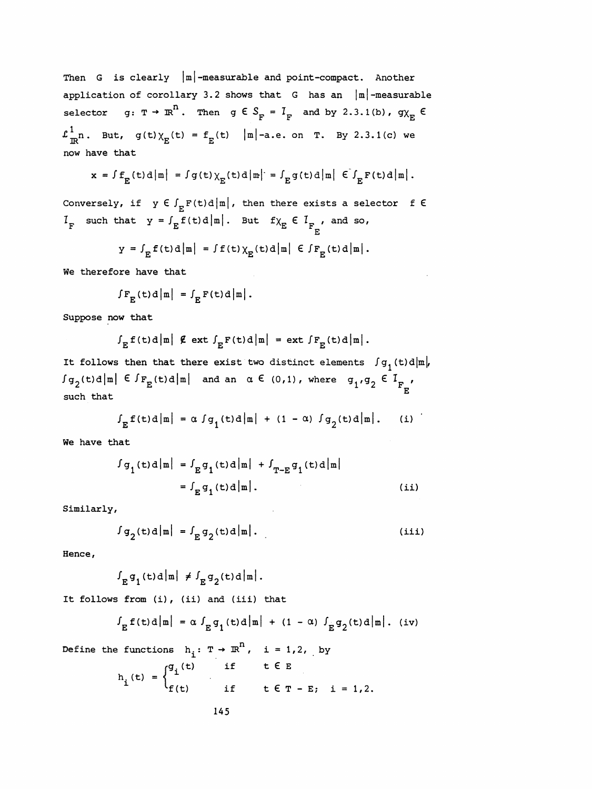Then G is clearly  $\left| \texttt{m} \right|$ -measurable and point-compact. Another application of corollary 3.2 shows that  $G$  has an  $|m|$ -measurable selector  $g: \tau \to \pi^n$ . Then  $g \in S_{\overline{F}} = I_{\overline{F}}$  and by 2.3.1(b),  $g\chi_{\overline{E}}$   $\in$  $\mathcal{L}_{\text{TR}}^1$ n. But, g(t) $\chi_{\text{E}}(t) = f_{\text{E}}(t)$  |m|-a.e. on T. By 2.3.1(c) we now have that

$$
x = \int f_E(t) d\left|m\right| = \int g(t) \chi_E(t) d\left|m\right| = \int_E g(t) d\left|m\right| \left| \int_E F(t) d\left|m\right| \right|.
$$

Conversely, if  $y \in \int_E F(t) d\vert m \vert$ , then there exists a selector f  $\epsilon$  $I_F$  such that  $Y = \int_E \tilde{f}(t) d|m|$ . But  $f \chi_E \in I_{F_{E'}}$ , and so,

$$
y = \int_E f(t) d\mu| = \int f(t) \chi_E(t) d\mu| \in \int F_E(t) d\mu|.
$$

We therefore have that

$$
\int F_{\mathbf{E}}(t) d |\mathbf{m}| = \int_{\mathbf{E}} \mathbf{F}(t) d |\mathbf{m}|.
$$

Suppose now that

$$
\int_E f(t) d\left|\mathbf{m}\right| \not\in \text{ext} \int_E F(t) d\left|\mathbf{m}\right| = \text{ext} \int F_E(t) d\left|\mathbf{m}\right|.
$$

It follows then that there exist two distinct elements  $\int g_{1} (t) d|m|,$  $\int g_2(t) d\vert m \vert$   $\in$   $\int F_E(t) d\vert m \vert$  and an  $\alpha \in (0,1)$ , where  $g_1, g_2 \in I_{F_n}$  E such that

$$
\int_{E} f(t) d\left|\mathbf{m}\right| = \alpha \int g_{1}(t) d\left|\mathbf{m}\right| + (1 - \alpha) \int g_{2}(t) d\left|\mathbf{m}\right|. \qquad (i)
$$

We have that

$$
\begin{aligned} \int g_1(t) d|\mathbf{m}| &= \int_E g_1(t) d|\mathbf{m}| + \int_{T-E} g_1(t) d|\mathbf{m}| \\ &= \int_E g_1(t) d|\mathbf{m}|. \end{aligned} \tag{ii}
$$

Similarly,

$$
\int g_2(t) d\left|\mathbf{m}\right| = \int_E g_2(t) d\left|\mathbf{m}\right|.
$$
 (iii)

Hence ,

 $\int_E g_1(t) d|m| \neq \int_E g_2(t) d|m|.$ 

It follows from (i), (ii) and (iii) that

$$
\int_{E} f(t) d\left|\mathbf{m}\right| = \alpha \int_{E} g_{1}(t) d\left|\mathbf{m}\right| + (1 - \alpha) \int_{E} g_{2}(t) d\left|\mathbf{m}\right|.
$$
 (iv)

Define the functions  $h_i: T \rightarrow \mathbb{R}^n$ , i = 1,2, by

$$
h_{i}(t) = \begin{cases} g_{i}(t) & \text{if } t \in E \\ f(t) & \text{if } t \in T - E; i = 1, 2. \end{cases}
$$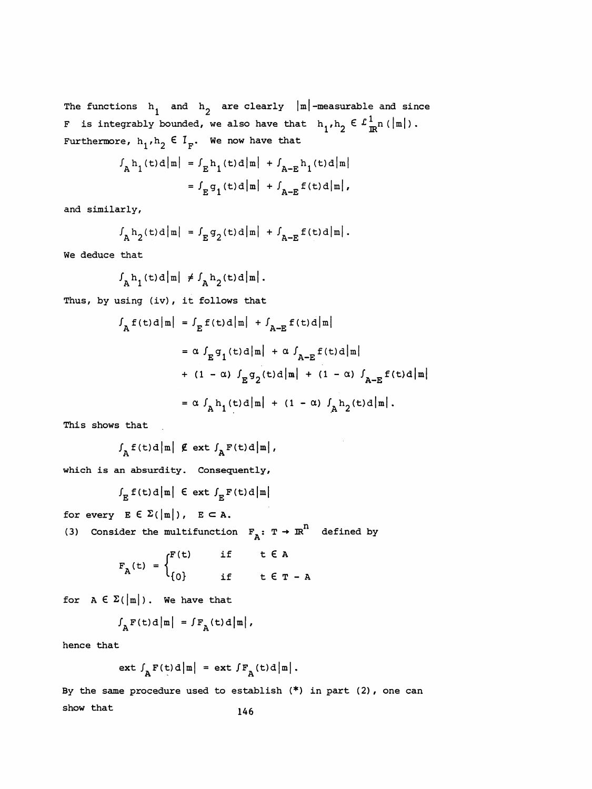The functions  $h_1$  and  $h_2$  are clearly  $|m|$ -measurable and since F is integrably bounded, we also have that  $h_1,h_2\in \mathcal{L}_{\mathbb{R}^n}^1(\vert\mathfrak{m}\vert)$ . Furthermore,  $h_1, h_2 \in I_F$ . We now have that

$$
f_{A}h_{1}(t)d|m| = f_{E}h_{1}(t)d|m| + f_{A-E}h_{1}(t)d|m|
$$
  
=  $f_{E}g_{1}(t)d|m| + f_{A-E}f(t)d|m|$ ,

and similarly,

$$
\int_{A} h_{2}(t) d \, |\, m \, | = \int_{E} g_{2}(t) d \, |\, m \, | + \int_{A-E} f(t) d \, |\, m \, |.
$$

We deduce that

$$
\int_{A} h_{1}(\tau) d\left|\mathbf{m}\right| \neq \int_{A} h_{2}(\tau) d\left|\mathbf{m}\right|.
$$

Thus, by using (iv) , it follows that

$$
J_{A}f(t) d|m| = J_{E}f(t) d|m| + J_{A-E}f(t) d|m|
$$
  
=  $\alpha \int_{E} g_{1}(t) d|m| + \alpha \int_{A-E} f(t) d|m|$   
+  $(1 - \alpha) \int_{E} g_{2}(t) d|m| + (1 - \alpha) \int_{A-E} f(t) d|m|$   
=  $\alpha \int_{A} h_{1}(t) d|m| + (1 - \alpha) \int_{A} h_{2}(t) d|m|.$ 

This shows that

$$
\int_{A} f(t) d\left|\mathbf{m}\right| \not\in \text{ext} \int_{A} F(t) d\left|\mathbf{m}\right|,
$$

which is an absurdity. Consequently,

$$
\int_{E} f(t) d\mu \in ext \int_{E} F(t) d\mu
$$

for every  $E \in \Sigma(|m|)$ ,  $E \subset A$ .

(3) Consider the multifunction  $F_A: T \rightarrow \mathbb{R}^n$  defined by

$$
F_A(t) = \begin{cases} F(t) & \text{if } t \in A \\ \begin{cases} 0 \end{cases} & \text{if } t \in T - A \end{cases}
$$

for  $A \in \Sigma(\left|m\right|)$ . We have that

$$
\int_{A} F(t) d\left|\mathbf{m}\right| = \int F_{A}(t) d\left|\mathbf{m}\right|,
$$

hence that

$$
\text{ext } \int_{A} F(t) d\big|\mathbf{m}\big| = \text{ext } \int F_A(t) d\big|\mathbf{m}\big|.
$$

 By the same procedure used to establish (\*) in part (2) , one can show that  $146$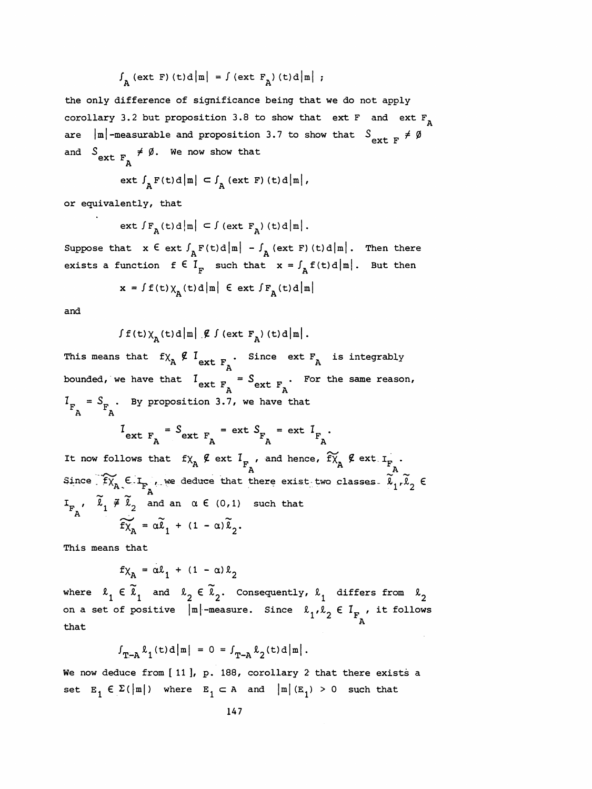$$
\int_{A} (\text{ext } F) (t) d \mid m \mid = \int (\text{ext } F_{A}) (t) d \mid m \mid ;
$$

 the only difference of significance being that we do not apply corollary 3.2 but proposition 3.8 to show that ext F and ext  $F_{n}$ are  $|\mathbf{m}|$ -measurable and proposition 3.7 to show that  $S_{\text{ext } F} \neq \emptyset$ and  $\begin{array}{l} \mathcal{S}_{\tt ext} = \frac{1}{\sqrt{2}} \neq \emptyset. \end{array}$  We now show that

$$
\mathsf{ext}\,\,\mathsf{f}_{\mathsf{A}}\,\mathsf{F}\,(\mathsf{t})\,\mathsf{d}\,\big|\,\mathsf{m}\,\big|\,\subset\mathsf{f}_{\mathsf{A}}\,(\mathsf{ext}\,\,\mathsf{F})\,(\mathsf{t})\,\mathsf{d}\,\big|\,\mathsf{m}\,\big|\,,
$$

or equivalently, that

ext 
$$
\int F_a(t) d\left| \mathbf{m} \right| \subset \int (ext F_a)(t) d\left| \mathbf{m} \right|
$$
.

Suppose that  $x \in \text{ext } f_A F(t) d \mid m \mid - f_A(\text{ext } F) (t) d \mid m \mid$ . Then there exists a function  $f \in I_F$  such that  $x = \int_A f(t) d\mu$ . But then at  $x \in \text{ext } J_A F(t) d|m| - J_A (\text{ext } F) (t) d|m|$ . Then there<br>unction  $f \in I_F$  such that  $x = \int_A f(t) d|m|$ . But then<br> $x = \int f(t) \chi_A(t) d|m| \in \text{ext } \int F_A(t) d|m|$ 

$$
x = \int f(t) \chi_A(t) d\left| m \right| \in \text{ext} \int F_A(t) d\left| m \right|
$$

and

$$
\int f(t) \chi_{\mathbf{A}}(t) d \, |\mathbf{m}| \, |\mathcal{L} \int (\text{ext } \mathbf{F}_{\mathbf{A}}) (t) d \, |\mathbf{m}| \, .
$$

This means that  $f \chi __{A}^{} \not \in \mathcal{I}_{\rm ext}^{}$  , Since ext  $F _{_{\small \rm \! A}}^{}$  is integrably bounded, we have that  $I_{\text{ext } F_A} = S_{\text{ext } F_A}$ . For the same reason,  $I_{F \nightharpoonup A} = S_{F \nightharpoonup A}$ . By proposition 3.7, we have that  $I_{ext F_A} = S_{ext F_A} = ext S_{F_A} = ext I_{F_A}.$  $S_{\text{ext } F_A}$  = ext  $S_{\text{ext } F_A}$  = ext  $I_{\text{ext } F_A}$ It now follows that  $f_{X_A} \notin \text{ext } I_{F_A}$ , and hence,  $\widetilde{f}_{X_A} \notin \text{ext } I_{F_A}$ . Since  $\widetilde{f_{X_A}} \in I_{F_A}$ , we deduce that there exist-two classes-  $\widetilde{\lambda}_1 \cdot \widetilde{\lambda}_2 \in$ and an  $\alpha \in (0,1)$  such that FA

$$
\widetilde{f}\widetilde{\chi}_A = \alpha \widetilde{\ell}_1 + (1 - \alpha)\widetilde{\ell}_2.
$$

This means that

 $f\chi_{\mathbf{A}} = \alpha \ell_1 + (1 - \alpha) \ell_2$ 

where  $\ell_1 \in \widetilde{\ell}_1$  and  $\ell_2 \in \widetilde{\ell}_2$ . Consequently,  $\ell_1$  differs from  $\ell$ on a set of positive  $|m|$ -measure. Since  $\ell_1, \ell_2 \in I_{F_A}$ , it follows that  $f\chi_A = \alpha \ell_1 + (1 - \alpha) \ell_2$ <br>where  $\ell_1 \in \tilde{\ell}_1$  and  $\ell_2 \in \tilde{\ell}_2$ . Consequently,  $\ell_1$  difference are consequently,  $\ell_1$  difference and  $\ell_2 \in \tilde{\ell}_2$ .<br>that of positive  $|\mathbf{m}|$ -measure. Since  $\ell_1, \ell_2 \in I_{\mathbf{F}_A}$ , it follows<br> $\int_{\mathbf{T}-\mathbf{A}} \ell_1(\mathbf{t})d|\mathbf{m}| = 0 = \int_{\mathbf{T}-\mathbf{A}} \ell_2(\mathbf{t})d|\mathbf{m}|.$ <br>luce from [11], p. 188, corollary 2 that there exists a

$$
\int_{\mathbf{T}-\mathbf{A}} \ell_1(t) d |\mathbf{m}| = 0 = \int_{\mathbf{T}-\mathbf{A}} \ell_2(t) d |\mathbf{m}|.
$$

We now deduce from [11], p. 188, corollary 2 that there exists a set  $E_1 \in \Sigma(\vert m \vert)$  where  $E_1 \subset A$  and  $\vert m \vert (E_1) > 0$  such that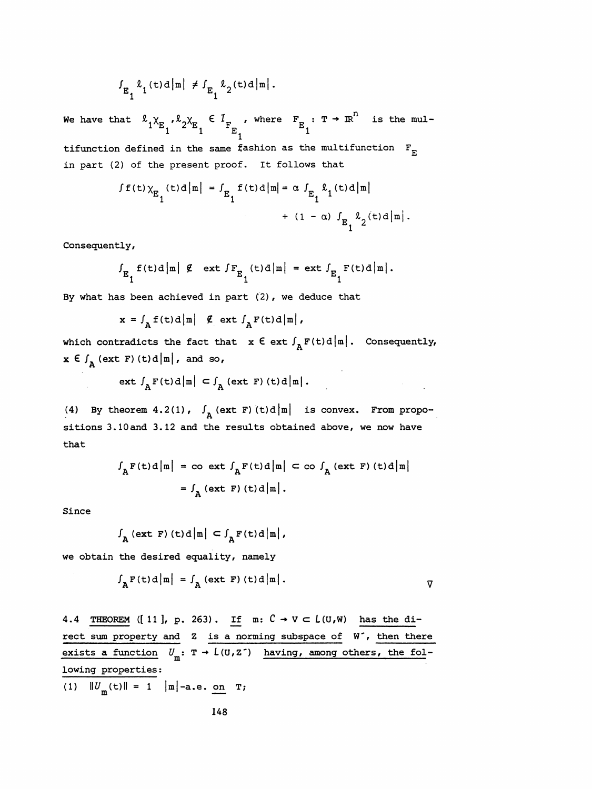$$
\int_{E_1} \ell_1(t) d|n| \neq \int_{E_1} \ell_2(t) d|n|.
$$

We have that  $\begin{array}{cc} \ell_1 \times_{E_1} \ell_2 \times_{E_1} \in I_{F_{E_1}} & \text{where} \quad F_{E_1} : T \rightarrow \mathbb{R}^n \quad \text{is the mul-} \end{array}$ 

tifunction defined in the same fashion as the multifunction  $F_{E}$ in part (2) of the present proof. It follows that

in defined in the same fashion as the multiplication 
$$
F_E
$$
  
\n2) of the present proof. It follows that  
\n
$$
\int f(t) \chi_E(t) d\mu = \int_{E_1} f(t) d\mu = \alpha \int_{E_1} \ell_1(t) d\mu + (1 - \alpha) \int_{E_1} \ell_2(t) d\mu.
$$

Consequently,

$$
\int_{E_1} f(t) d\mu \, d\mu \, d\mu = \text{ext} \int_{E_1} f(t) d\mu.
$$

By what has been achieved in part (2) , we deduce that

$$
x = \int_{A} f(t) d\left|\mathbf{m}\right| \mathcal{L} \text{ ext } \int_{A} F(t) d\left|\mathbf{m}\right|,
$$

which contradicts the fact that  $x \in ext \int_{A} F(t) d |m|$ . Consequently,  $x \in \int_{A} (ext F) (t) d \vert m \vert$ , and so,

$$
\text{ext } \int_{A} F(t) d\big|\big| = \int_{A} (\text{ext } F) (t) d\big|\big|.
$$

(4) By theorem 4.2(1),  $\int_{A}$  (ext F) (t)d |m | is convex. From propo sitions 3.10 and 3.12 and the results obtained above, we now have that  $|\mathbf{m}| \subset \int_{\mathbf{A}} (\text{ext } \mathbf{F}) (\text{t}) d |\mathbf{m}|$ .<br>
),  $\int_{\mathbf{A}} (\text{ext } \mathbf{F}) (\text{t}) d |\mathbf{m}|$  is convex. From propo-<br>
and the results obtained above, we now have<br>  $= \infty$  ext  $\int_{\mathbf{A}} \mathbf{F}(\text{t}) d |\mathbf{m}| \subset \infty$   $\int_{\mathbf{A}} (\text{ext } \mathbf{F}) (\text$ 

$$
f_{A}F(t)d|m| = \cos \omega t \int_{A}F(t)d|m| \le \cos \omega t \int_{A}(\text{ext } F)(t)d|m|
$$

$$
= \int_{A}(\text{ext } F)(t)d|m|.
$$

Since

$$
\int_{\mathbf{A}} (\text{ext } \mathbf{F}) (\text{t}) \, \text{d} \big| \mathbf{m} \big| \, \subset \int_{\mathbf{A}} \mathbf{F} (\text{t}) \, \text{d} \big| \mathbf{m} \big| \, ,
$$

we obtain the desired equality, namely

$$
\int_{A} F(t) d \vert m \vert = \int_{A} (ext F) (t) d \vert m \vert.
$$

4.4 THEOREM ([11], p. 263). If  $m: C \rightarrow V \subset L(U,W)$  has the direct sum property and  $z$  is a norming subspace of  $W^{\bullet}$ , then there exists a function  $U_m$ : T + L(U,Z<sup>-</sup>) having, among others, the fol lowing properties: on T;<br>148

(1)  $||U_m(t)|| = 1$  |m|-a.e. on T; properties:<br> $m(t)$ || = 1 ||m|-a.e. on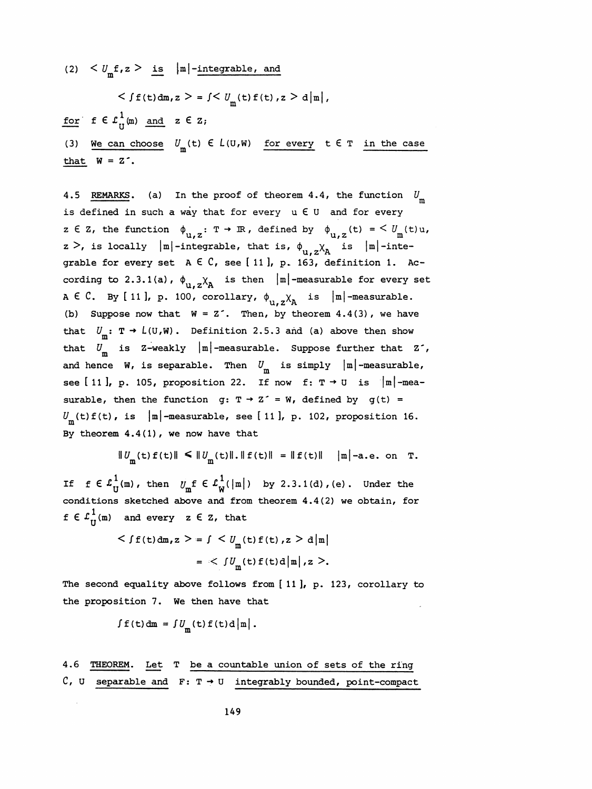(2)  $\langle U_m f, z \rangle$  is  $|m|$ -integrable, and

$$
\langle f f(t) \, dm, z \rangle = \int \langle U_m(t) f(t), z \rangle \, d |m|,
$$

for  $f \in L^1_{H}(m)$  and  $z \in Z$ ;

 $\begin{aligned} \n\mathbf{y}, z > \text{ is } |m|-\text{integrable, and} \\ \n&amplt \int f(t) \, \mathrm{d}\mathbf{m}, z >= \int \n&amplt U_m(t) f(t), z > d|m|, \\ \n\frac{1}{U}(m) \quad &\text{and} \quad z \in \mathbf{Z}; \\ \n\mathbf{n} \text{ choose } U_m(t) \in L(U, W) \quad \text{for every } t \in \mathbf{T} \quad \text{in the case} \\ \n\mathbf{z}^T. \n\end{aligned}$ (3) We can choose  $U_m(t) \in L(U,W)$  for every  $t \in T$  in the case We can choose  $U_m(t) \in L(U,W)$  for every  $t \in T$  in the can<br> $W = 7$ . that  $W = Z^{\prime}$ .

4.5 REMARKS. (a) In the proof of theorem 4.4, the function  $U_m$ is defined in such a way that for every  $u \in U$  and for every z E Z, the function  $\phi_{u,z} : T \to \mathbb{R}$ , defined by  $\phi_{u,z}(t) = \frac{C}{m}(t)u$ ,<br>z >, is locally  $|m|$ -integrable, that is,  $\phi_{u,z} \chi_A$  is  $|m|$ -integrable for every set  $A \in C$ , see [11], p. 163, definition 1. According to 2.3.1(a),  $\phi_{u,z}^{\dagger} \chi_A^{\dagger}$  is then  $|m|$ -measurable for every set A  $\in$  C. By [11], p. 100, corollary,  $\phi_{u,z}\chi_A$  is  $|m|$ -measurable. (b) Suppose now that  $W = Z^2$ . Then, by theorem 4.4(3), we have that  $U_m$ :  $T \rightarrow L(U,W)$ . Definition 2.5.3 and (a) above then show that  $U_m$  is Z-weakly  $|m|$ -measurable. Suppose further that Z<sup>-</sup>, and hence W, is separable. Then  $U_{\text{m}}$  is simply  $|\text{m}|$ -measurable, see [11], p. 105, proposition 22. If now f:  $T \rightarrow U$  is  $|m|$ -measurable, then the function  $g: T \rightarrow Z^* = W$ , defined by  $g(t) =$  $U^{\text{m}}_{\text{m}}(t)f(t)$ , is  $|\text{m}|$ -measurable, see [ 11 ], p. 102, proposition 16. By theorem  $4.4(1)$ , we now have that

$$
||U_{\mathbf{m}}(\mathsf{t}) f(\mathsf{t})|| \le ||U_{\mathbf{m}}(\mathsf{t})||. ||f(\mathsf{t})|| = ||f(\mathsf{t})|| \quad |\mathbf{m}| \text{-a.e. on } \mathsf{T}.
$$

 $||U_m(t) f(t)|| \le ||U_m(t)|| \cdot ||f(t)|| = ||f(t)|| \quad |m| - a.e.$  on T.<br>If  $f \in L_U^1(m)$ , then  $U_m^f \in L_W^1(|m|)$  by 2.3.1(d), (e). Under the<br>conditions sketched above and from theorem 4.4(2) we obtain, for conditions sketched above and from theorem 4.4(2) we obtain, for  $f \in \mathcal{L}^1_{\Pi}(\mathfrak{m})$  and every  $z \in \mathbb{Z}$ , that

$$
\langle f f(t) dm, z \rangle = \int \langle U_m(t) f(t), z \rangle d|m|
$$
  
= 
$$
\langle \int U_m(t) f(t) d|m|, z \rangle.
$$

 The second equality above follows from [11], p. 123, corollary to the proposition 7. We then have that

$$
\int f(t) dm = \int U_m(t) f(t) d |m|.
$$

 4.6 THEOREM. Let T be a countable union of sets of the ring  $C$ , U separable and  $F: T \rightarrow U$  integrably bounded, point-compact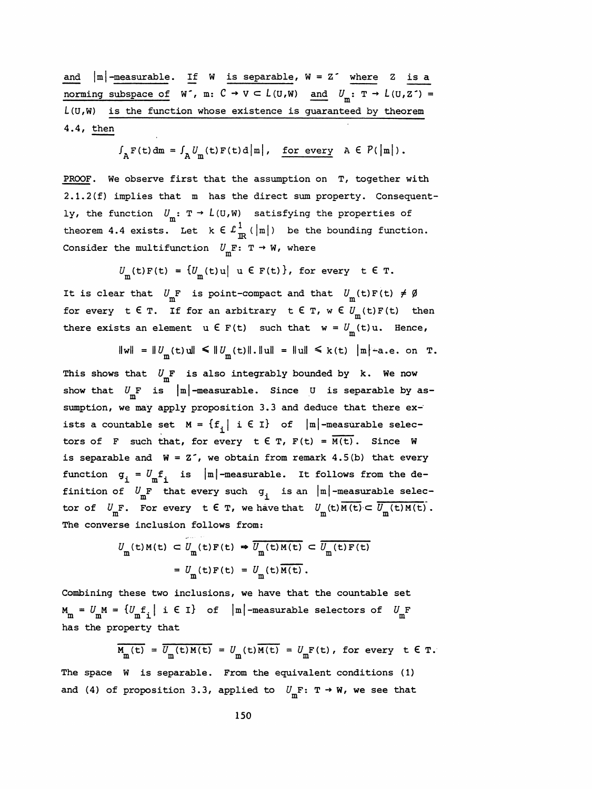and  $|m|$ -measurable. If W is separable,  $W = Z^*$  where Z is a norming subspace of  $W^{\bullet}$ , m:  $C \rightarrow V \subset L(U,W)$  and  $U_m: T \rightarrow L(U,Z^{\bullet}) =$  $L(U,W)$  is the function whose existence is guaranteed by theorem 4.4, then

$$
\int_{A} F(t) dm = \int_{A} U_{m}(t) F(t) d |m|, \quad \underline{\text{for every}} \quad A \in P(|m|).
$$

 PROOF. We observe first that the assumption on T, together with 2.1.2(f) implies that m has the direct sum property. Consequent ly, the function  $U_m: T \to L(U,W)$  satisfying the properties of theorem 4.4 exists. Let  $k \in \mathcal{L}^1_{\mathbb{R}}(|m|)$  be the bounding function. Consider the multifunction  $\mathit{U}_{\overline{m}}\mathbf{F}\colon$  T  $\rightarrow$  W, where

$$
U_{\mathbf{m}}(\mathsf{t})\,\mathsf{F}(\mathsf{t})\;=\;\{U_{\mathbf{m}}(\mathsf{t})\,\mathsf{u}\big|\;\mathsf{u}\;\mathsf{E}\;\mathsf{F}(\mathsf{t})\},\;\text{for every}\;\;\mathsf{t}\;\mathsf{E}\;\mathsf{T}.
$$

It is clear that  $U_m$ F is point-compact and that  $U_m(t)F(t) \neq \emptyset$ for every t  $\epsilon$  T. If for an arbitrary t  $\epsilon$  T,  $w \in U_m(t)F(t)$  then there exists an element  $u \in F(t)$  such that  $w = U_m(t)u$ . Hence,

ts an element 
$$
u \in F(t)
$$
 such that  $w = U_m(t)u$ . Hence,  
\n $||w|| = ||U_m(t)u|| \le ||U_m(t)||$ .  $||u|| = ||u|| \le k(t) |m|$ -a.e. on T.

This shows that  $U_m^F$  is also integrably bounded by k. We now show that  $U_{\text{m}}$ F is  $|\text{m}|$ -measurable. Since U is separable by as sumption, we may apply proposition 3.3 and deduce that there ex ists a countable set  $M = \{f^{\text{}}_i \mid i \in I\}$  of  $|m|$ -measurable selectors of F such that, for every  $t \in T$ ,  $F(t) = \overline{M(t)}$ . Since W is separable and  $W = Z^2$ , we obtain from remark 4.5(b) that every function  $g_i = U_m f_i$  is  $|m|$ -measurable. It follows from the defunction  $g_i = U_m f_i$  is  $|m|$ -measurable. It follows from the de-<br>finition of  $U_m F$  that every such  $g_i$  is an  $|m|$ -measurable selec-<br>tor of  $U_F$  . For every t f  $F$  we have that  $U_f$  (t) $M(f)$   $\overline{U_f(f)M(f)}$ . tor of  $U_{\text{m}}F$ . For every  $t \in T$ , we have that  $U_{\text{m}}(t)M(t) \subset \overline{U_{\text{m}}(t)M(t)}$ .  $g_i = U_m f_i$  is  $|m|$ -measurable. It follows from<br>of  $U_m F$  that every such  $g_i$  is an  $|m|$ -measurabl<br> $W_m F$ . For every  $t \in T$ , we have that  $U_m(t)M(t) \subset \overline{U}_m$ <br>rse inclusion follows from:

The converse inclusion follows from:  
\n
$$
U_{\text{m}}(\text{t})M(\text{t}) \subset U_{\text{m}}(\text{t})F(\text{t}) \Rightarrow \overline{U_{\text{m}}(\text{t})M(\text{t})} \subset \overline{U_{\text{m}}(\text{t})F(\text{t})}
$$
\n
$$
= U_{\text{m}}(\text{t})F(\text{t}) = U_{\text{m}}(\text{t})\overline{M(\text{t})}.
$$

 Combining these two inclusions, we have that the countable set  $M_m = U_m M = \{U_m f_i \mid i \in I\}$  of  $|m|$ -measurable selectors of  $U_m F$ has the property that

$$
\overline{M_{\underline{m}}(t)} = \overline{U_{\underline{m}}(t)M(t)} = U_{\underline{m}}(t)\overline{M(t)} = U_{\underline{m}}F(t), \text{ for every } t \in \mathbb{T}.
$$

 The space W is separable. From the equivalent conditions (1) and (4) of proposition 3.3, applied to  $U_m$ F: T  $\rightarrow$  W, we see that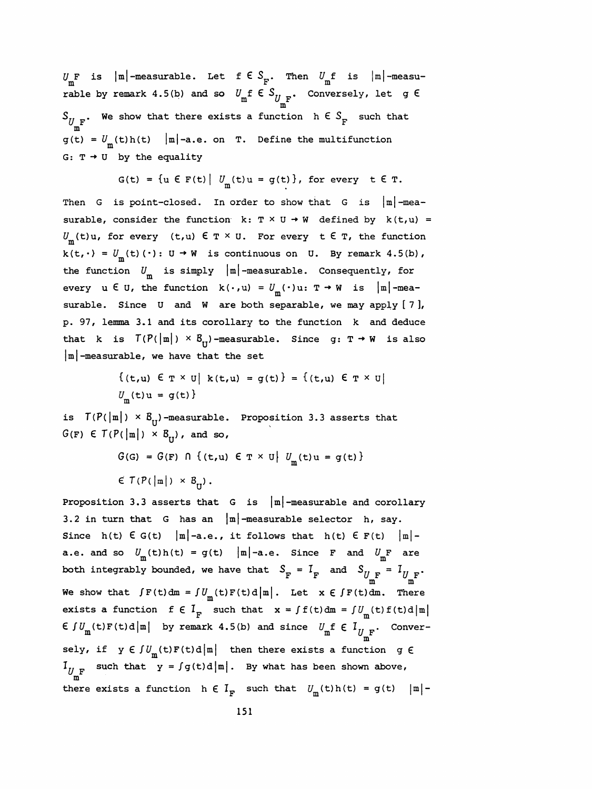$U_{\text{m}}$  is  $|\text{m}|$ -measurable. Let f  $\in S_{\text{F}}$ . Then  $U_{\text{m}}$  is  $|\text{m}|$ -measurable by remark 4.5(b) and so  $U_{\text{m}}$ f E $S_{U_{\text{m}}\text{F}}$ . Conversely, let g E  $U_{\rm m}$ F is  $|m|$ -measurable. Let  $f \in S_{\rm F}$ . Then  $U_{\rm m}$ f is  $|m|$ -mearable by remark 4.5(b) and so  $U_{\rm m}$ f  $\in S_{U_{\rm m}F}$ . Conversely, let g<br> $S_{U_{\rm m}F}$ . We show that there exists a function  $h \in S_{\rm F}$  such that m  $\mathsf{g}\left( \mathsf{t}\right)$  =  $\mathsf{U}_{_{\mathsf{m}}}\left( \mathsf{t}\right)$ h(t) |m|-a.e. on T. Define the multifun G:  $T \rightarrow U$  by the equality

$$
G(t) = \{ u \in F(t) \mid U_m(t)u = g(t) \}, \text{ for every } t \in T.
$$

Then G is point-closed. In order to show that G is  $|m|$ -measurable, consider the function  $k: T \times U \rightarrow W$  defined by  $k(t, u) =$  $U_{\rm m}(t)u$ , for every (t,u)  $\epsilon \in \mathcal{T} \times U$ . For every  $t \in \mathcal{T}$ , the function  $k(t,\cdot)$  =  $U_{\textrm{m}}(t)$  ( $\cdot$ ): U  $\rightarrow$  W  $\,$  is continuous on  $\,$  U. By remark  $4.5(\textrm{b})$  , the function  $U_m$  is simply  $|m|$ -measurable. Consequently, for every  $u \in U$ , the function  $k(\cdot, u) = U_m(\cdot)u: T \rightarrow W$  is  $|m|$ -measurable. Since  $U$  and  $W$  are both separable, we may apply  $[7]$ , p. 97, lemma 3.1 and its corollary to the function k and deduce that k is  $T(P(\vert m\vert) \times B_{\tau})$ -measurable. Since g: T  $\rightarrow$  W is also  $|\mathbf{m}|$ -measurable, we have that the set

$$
\{(t, u) \in T \times U \mid k(t, u) = g(t)\} = \{(t, u) \in T \times U \mid U_m(t)u = g(t)\}
$$

is  $T(P(\vert m\vert) \times B_{U})$ -measurable. Proposition 3.3 asserts that  $G(F) \in T(P(\left|\mathbf{m}\right|) \times B_{\mathbf{m}})$ , and so,

$$
G(G) = G(F) \cap \{(t, u) \in T \times U \mid U_m(t)u = g(t)\}
$$
  

$$
\in T(P(|m|) \times B_U).
$$

Proposition 3.3 asserts that  $G$  is  $|m|$ -measurable and corollary 3.2 in turn that G has an  $|m|$ -measurable selector h, say. Since h(t)  $\in G(t)$  |m|-a.e., it follows that h(t)  $\in F(t)$  |m|-3.2 in turn that G has an  $|m|$ -measurable selector h, say.<br>
Since h(t)  $\in G(t)$   $|m|$ -a.e., it follows that h(t)  $\in F(t)$   $|m|$ -<br>
a.e. and so  $U_m(t)h(t) = g(t)$   $|m|$ -a.e. Since F and  $U_mF$  are<br>
both integrably bounded, we have tha  $F = I_F$  and  $S_{U_{\text{m}}F} = I_{U_{\text{m}}F}$ We show that  $\int F(t) dm = \int U_m(t) F(t) d|m|$ . Let  $x \in \int F(t) dm$ . There exists a function  $f \in I_F$  such that  $x = \int f(t) dm = \int U_m(t) f(t) d|m|$ We show that  $\int F(t) dm = \int U_m(t) F(t) d |m|$ . Let  $x \in \int F(t) dm$ . There<br>exists a function  $f \in I_r$  such that  $x = \int f(t) dm = \int U_m(t) f(t) d |m|$ <br> $f \in J_u$ . Converexists a function  $f \in I_F$  such that  $x = \int f(t) dm = \int U_m(t) f(t) d|m|$ <br> $\in \int U_m(t) F(t) d|m|$  by remark 4.5(b) and since  $U_m f \in I_{U_{m}}$ . Conver- $\text{if } U_{\text{m}}(\text{t}) = \int_{\text{m}}^{\text{m}} \text{(t)} \text{F}(\text{t}) d\text{m}$  by remark 4.5(b) and since  $U_{\text{m}} \text{F} \in I_{U_{\text{m}} \text{F}}$ . Conversely, if  $y \in \int U_m(t) F(t) d\vert m\vert$  then there exists a function g  $\epsilon$  $U_{\rm F}$  such that  $\gamma$  -  $\gamma$  g(t)d|m|. By what has been shown m  $I_{U_{\text{m}}^{\text{F}}}$  such that  $y = \int g(t) d|\text{m}|$ . By what has been shown above,<br>there exists a function  $h \in I_{\text{F}}$  such that  $U_{\text{m}}(t)h(t) = g(t) |\text{m}|-151$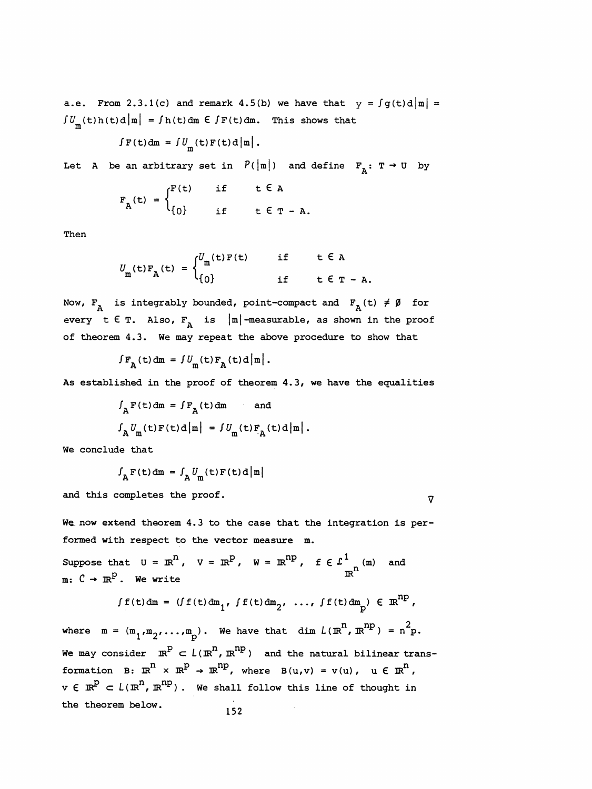a.e. From 2.3.1(c) and remark 4.5(b) we have that  $y = \int g(t) d\vert m \vert =$  $\int U_m(t)h(t)d|m| = \int h(t)dm \in \int F(t)dm$ . This shows that

$$
\int F(t) dm = \int U_m(t) F(t) d |m|.
$$

Let A be an arbitrary set in  $P(|m|)$  and define  $F_A: T \rightarrow U$  by

$$
F_A(t) = \begin{cases} F(t) & \text{if } t \in A \\ \{0\} & \text{if } t \in T - A. \end{cases}
$$

Then

$$
U_{\mathbf{m}}(\mathbf{t})\mathbf{F}_{\mathbf{A}}(\mathbf{t}) = \begin{cases} U_{\mathbf{m}}(\mathbf{t})\mathbf{F}(\mathbf{t}) & \text{if } \mathbf{t} \in \mathbf{A} \\ 0 & \text{if } \mathbf{t} \in \mathbf{T} - \mathbf{A}. \end{cases}
$$

Now,  $F_A$  is integrably bounded, point-compact and  $F_A(t) \neq \emptyset$  for a.e. From 2.3.1(c) and remark 4.5(b) we have that  $y = fg(t) d\vert n \vert = \frac{fU_m(t)t(t) d\vert n - f(t) dm}{\epsilon f(t) dm} = \frac{fF(t) dm}{\epsilon f(t) dm}$ . This shows that<br>  $f(t) dm = fU_m(t)F(t) d\vert n \vert$ .<br>
Let  $\lambda$  be an arbitrary set in  $P(|n|)$  and define  $F_A: T \to 0$  by<br>  $F_A(t$ every t  $\epsilon$  T. Also,  $F_A$  is  $|m|$ -measurable, as shown in the proof of theorem 4.3. We may repeat the above procedure to show that

$$
\int F_{\mathbf{A}}(t) dm = \int U_{\mathbf{m}}(t) F_{\mathbf{A}}(t) d \left| \mathbf{m} \right|.
$$

As established in the proof of theorem  $4.3$ , we have the equalities

$$
\int_{A} F(t) dm = \int F_{A}(t) dm \quad \text{and}
$$
  

$$
\int_{A} U_{m}(t) F(t) d|m| = \int U_{m}(t) F_{A}(t) d|m|.
$$

We conclude that

$$
f_{\mathbf{A}}\mathbf{F}(\mathbf{t})\,\mathrm{d}\mathbf{m} = f_{\mathbf{A}}U_{\mathbf{m}}(\mathbf{t})\mathbf{F}(\mathbf{t})\,\mathrm{d}\,\big|\,\mathbf{m}\big|
$$

and this completes the proof.  $\nabla$ 

We now extend theorem 4.3 to the case that the integration is performed with respect to the vector measure m.

Suppose that  $U = \mathbb{R}^{\mathbb{N}}$ ,  $V = \mathbb{R}^{\mathbb{P}}$ ,  $W = \mathbb{R}^{\mathbb{N}\mathbb{P}}$ ,  $f \in \mathcal{L}^{\perp}$   $\underset{\mathbb{N}}{\mathbb{N}}$  and We now extend theorem 4.3 to the case that the integration is per-<br>formed with respect to the vector measure m.<br>Suppose that  $U = \mathbb{R}^n$ ,  $V = \mathbb{R}^p$ ,  $W = \mathbb{R}^{np}$ ,  $f \in L^1_{\mathbb{R}^n}$  (m) and<br>m:  $C \to \mathbb{R}^p$ . We write at  $U = \mathbb{R}^n$ ,  $V = \mathbb{R}^p$ ,  $W = \mathbb{R}^{np}$ ,  $f \in L^1_{\mathbb{R}^n}$  and<br>
. We write<br>  $\int f(t) dm = (\int f(t) dm_1, \int f(t) dm_2, \ldots, \int f(t) dm_p) \in \mathbb{R}^{np}$ ,

We write 
$$
f f(t) dm = (f f(t) dm_1, f f(t) dm_2, ..., f f(t) dm_p) \in \mathbb{R}^{np},
$$

 $\int f(t) dm = (\int f(t) dm_1, \int f(t) dm_2, \ldots, \int f(t) dm_p) \in \mathbb{R}^{np}$ ,<br>where  $m = (m_1, m_2, \ldots, m_p)$ . We have that dim  $L(\mathbb{R}^n, \mathbb{R}^{np}) = n^2p$ .<br>We may consider  $\mathbb{R}^p \subset L(\mathbb{R}^n, \mathbb{R}^{np})$  and the natural bilinear trans-F(t)dm =  $(f(t)dm_1 f(t)dm_2 f \ldots f(f(t)dm_p) \in \mathbb{R}^2$ ,<br>where  $m = (m_1, m_2, \ldots, m_p)$ . We have that  $dim L(\mathbb{R}^n, \mathbb{R}^{np}) = n^2p$ .<br>We may consider  $\mathbb{R}^p \subset L(\mathbb{R}^n, \mathbb{R}^{np})$  and the natural bilinear trans-<br>formation  $B: \mathbb{R}^n \times \math$ where  $m = (m_1, m_2, \ldots, m_p)$ . We have that dim  $L(\mathbb{R}^n, \mathbb{R}^{np}) = n^2 p$ .<br>We may consider  $\mathbb{R}^P \subset L(\mathbb{R}^n, \mathbb{R}^{np})$  and the natural bilinear trans-<br>formation B:  $\mathbb{R}^n \times \mathbb{R}^P \to \mathbb{R}^{np}$ , where  $B(u,v) = v(u)$ ,  $u \in$ We may consider  $\mathbb{R}^P \subset L(\mathbb{R}^n, \mathbb{R}^{np})$  and the natural bilinear trans-<br>formation B:  $\mathbb{R}^n \times \mathbb{R}^P \to \mathbb{R}^{np}$ , where  $B(u,v) = v(u)$ ,  $u \in \mathbb{R}^n$ ,<br> $v \in \mathbb{R}^P \subset L(\mathbb{R}^n, \mathbb{R}^{np})$ . We shall follow this line the theorem below. .  $1!$ 

$$
52\phantom{.0}
$$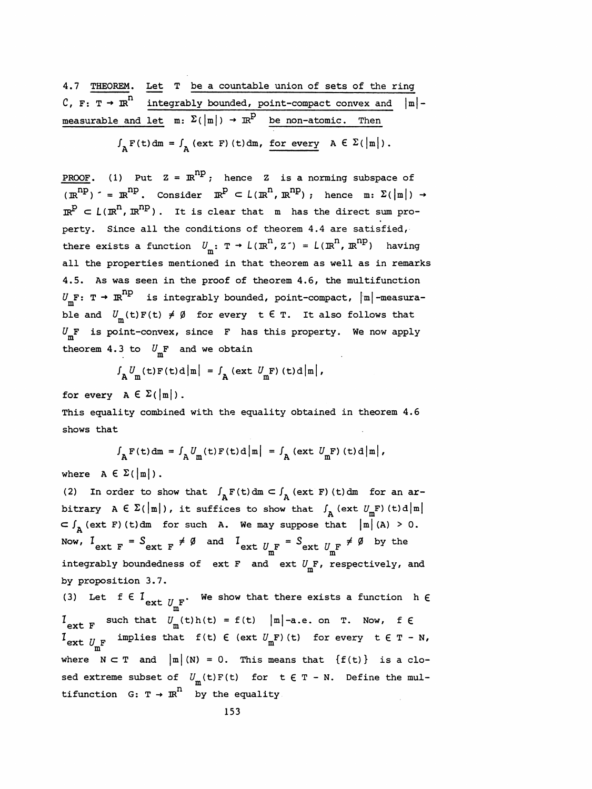4.7 THEOREM. Let T be a countable union of sets of the ring C, F: T  $\rightarrow \mathbb{R}^n$  integrably bounded, point-compact convex and  $|\mathbb{m}|$ measurable and let  $m: \Sigma(\vert m \vert) \rightarrow \pi^p$  be non-atomic. Then

 $\int_{\Delta} F(t) dm = \int_{\Delta} (ext F)(t) dm$ , for every  $A \in \Sigma(|m|)$ .

**PROOF.** (1) Put  $Z = \mathbb{R}^{np}$ ; hence Z is a norming subspace of  $\overline{(\mathbb{R}^{\text{np}})}$  \* =  $\mathbb{R}^{\text{np}}$ . Consider  $\mathbb{R}^{\text{p}} \subset L (\mathbb{R}^{\text{n}}, \mathbb{R}^{\text{np}})$ ; hence m:  $\Sigma(|m|) \rightarrow$  $\mathbb{R}^p \subset L(\mathbb{R}^n, \mathbb{R}^{np})$ . It is clear that m has the direct sum pro perty. Since all the conditions of theorem 4.4 are satisfied, there exists a function  $U_m$ : T  $\rightarrow$   $L(\mathbb{R}^n, z^-) = L(\mathbb{R}^n, \mathbb{R}^{np})$  having all the properties mentioned in that theorem as well as in remarks 4.5. As was seen in the proof of theorem 4.6, the multifunction  $U_m$ F: T  $\rightarrow \mathbb{R}^{np}$  is integrably bounded, point-compact,  $|\mathbb{m}|$  -measurable and  $U_{\text{m}}(t) F(t) \neq \emptyset$  for every  $t \in T$ . It also follows that  $U_m$ F is point-convex, since F has this property. We now apply theorem 4.3 to  $U_{\text{m}}$ F and we obtain

$$
\int_{\mathbf{A}} U_{\mathbf{m}}(\mathbf{t}) \mathbf{F}(\mathbf{t}) \mathbf{d} |\mathbf{m}| = \int_{\mathbf{A}} (\text{ext } U_{\mathbf{m}} \mathbf{F}) (\mathbf{t}) \mathbf{d} |\mathbf{m}|,
$$
  
for every  $\mathbf{A} \in \Sigma(|\mathbf{m}|)$ .

 This equality combined with the equality obtained in theorem 4.6 shows that

$$
\int_{\mathbf{A}} \mathbf{F}(t) dm = \int_{\mathbf{A}} U_{m}(t) \mathbf{F}(t) d|m| = \int_{\mathbf{A}} (\text{ext } U_{m} \mathbf{F}) (t) d|m|,
$$
  
where  $\mathbf{A} \in \Sigma(|m|)$ .

where  $A \in \Sigma(\vert m \vert)$ .<br>(2) In order to show that  $\int_A F(t) dm \subset \int_A (\text{ext } F) (t) dm$  for an ar-<br>pitrary  $A \in \Sigma(\vert m \vert)$ , it suffices to show that  $\int_A (\text{ext } U \cdot F) (t) dm$ (2) In order to show that  $\int_{A} F(t) dm \subset \int_{A} (ext F) (t) dm$  for an ar-<br>bitrary  $A \in \Sigma(|m|)$ , it suffices to show that  $\int_{A} (ext U_mF) (t) d|m|$ <br> $\subset \int_{A} (ext F) (t) dm$  for such A. We may suppose that  $|m|(A) > 0$ . (2) In order to show that  $J_A F(t) d m \subset J_A (ext F) (t) d m$  for an ar-<br>bitrary  $A \in \Sigma(|m|)$ , it suffices to show that  $J_A (ext U_m F) (t) d |m|$ <br> $\subset J_A (ext F) (t) d m$  for such A. We may suppose that  $|m|(A) > 0$ .<br>Now,  $I = S \neq \emptyset$  and  $I = S \neq \emptyset$  by th Now,  $I_{ext}$   $_F = S_{ext}$   $_F \neq \emptyset$  and  $I_{ext}$   $U_{\text{RF}}$  =  $S_{ext}$   $U_{\text{RF}}$   $\neq \emptyset$  by the Now,  $I_{ext F} = S_{ext F} \neq \emptyset$  and  $I_{ext U_{m}F} = S_{ext U_{m}F} \neq \emptyset$  by the<br>integrably boundedness of ext F and ext  $U_{m}F$ , respectively, and<br>by proposition 3.7. by proposition 3.7. (3) Let f  $\in I_{ext}$   $U_F$ . We show that there exists a function h  $\epsilon$ 

 m  $I_{\text{ext F}}$  such that  $U_m(t)h(t) = f(t) |m|$ -a.e. on T. Now, f  $\epsilon$ ext F and  $I_{\text{ext}}$  implies that f(t)  $\epsilon$  (ext  $U_m F$ ) (t) for every  $t \epsilon T - N$ , where  $N \subset T$  and  $|m| (N) = 0$ . This means that  $\{f(t)\}\)$  is a closed extreme subset of  $U_{\text{m}}(\texttt{t})\texttt{F}(\texttt{t})$  for  $\texttt{t} \in \texttt{T}$  - N. Define the multifunction  $G: T \rightarrow \mathbb{R}^n$  by the equality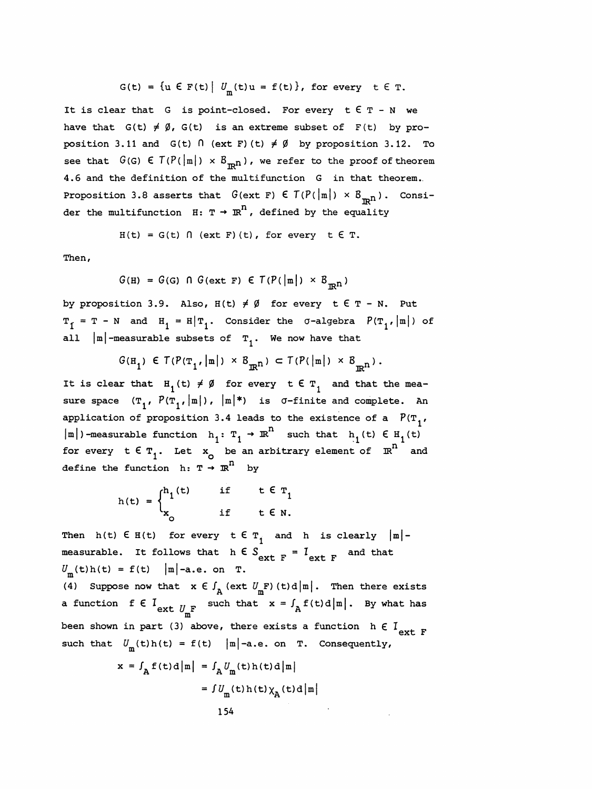$$
G(t) = \{u \in F(t) \mid U_m(t)u = f(t)\}, \text{ for every } t \in T.
$$

It is clear that G is point-closed. For every  $t \in T - N$  we have that  $G(t) \neq \emptyset$ ,  $G(t)$  is an extreme subset of  $F(t)$  by proposition 3.11 and  $G(t)$   $\bigcap$  (ext F) (t)  $\neq$   $\emptyset$  by proposition 3.12. To see that  $G(G) \in T(P(\vert \mathfrak{m} \vert) \times B_{\mathbb{R}^n})$ , we refer to the proof of theorem 4.6 and the definition of the multifunction G in that theorem. Proposition 3.8 asserts that  $G(\text{ext } F) \in T(P(\vert m\vert) \times B_{\text{min}})$ . Consider the multifunction  $H: T \rightarrow \mathbb{R}^n$ , defined by the equality

$$
H(t) = G(t) \cap (\text{ext } F)(t), \text{ for every } t \in T.
$$

Then,

$$
G(H) = G(G) \cap G(\text{ext } F) \in T(P(|m|) \times B_{\mathbb{R}^n})
$$

by proposition 3.9. Also,  $H(t) \neq \emptyset$  for every  $t \in T - N$ . Put  $T_f = T - N$  and  $H_1 = H|T_1$ . Consider the  $\sigma$ -algebra  $P(T_1,|m|)$  of

all 
$$
|\mathbf{m}|
$$
-measurable subsets of  $\mathbf{T}_1$ . We now have that  

$$
G(\mathbf{H}_1) \in T(P(\mathbf{T}_1, |\mathbf{m}|) \times B_{\mathbf{R}^n}) \subset T(P(|\mathbf{m}|) \times B_{\mathbf{R}^n}).
$$

If  $I = T - N$  and  $H_1 = H/T_1$ . Consider the O-algebra  $P(T_1, |m|)$  or<br>all  $|m|$ -measurable subsets of  $T_1$ . We now have that<br> $G(H_1) \in T(P(T_1, |m|) \times B_{\mathbb{R}^n}) \subset T(P(|m|) \times B_{\mathbb{R}^n})$ .<br>It is clear that  $H_1(t) \neq \emptyset$  for every  $t \in T$  $G(H_1) \in T(P(T_1, |m|) \times B_{\mathbb{R}^n}) \subset T(P(|m|) \times B_{\mathbb{R}^n}).$ <br>It is clear that  $H_1(t) \neq \emptyset$  for every  $t \in T_1$  and that the mea-<br>sure space  $(T_1, P(T_1, |m|), |m|*)$  is  $\sigma$ -finite and complete. An<br>application of proposition 3.4 leads all  $|\mathbb{m}|$ -measurable subsets of  $T_1$ . We now have that<br>  $G(H_1) \in T(P(T_1,|\mathbb{m}|) \times B_{\mathbb{R}^n}) \subset T(P(|\mathbb{m}|) \times B_{\mathbb{R}^n})$ .<br>
It is clear that  $H_1(t) \neq \emptyset$  for every  $t \in T_1$  and that the mea-<br>
sure space  $(T_1, P(T_1,|\mathbb{m}|), |\$ It is clear that  $H_1(t) \neq \emptyset$  for every  $t \in T_1$  and that the mea-<br>sure space  $(T_1, P(T_1, |\mathbf{m}|), |\mathbf{m}|^*)$  is  $\sigma$ -finite and complete. An<br>application of proposition 3.4 leads to the existence of a  $P(T_1, |\mathbf{m}|)$ -measurabl application of proposition 3.4 leads to the existence of a  $P(T_1, |m|)$ -measurable function  $h_1: T_1 \rightarrow \mathbb{R}^n$  such that  $h_1(t) \in H_1(t)$ <br>for every  $t \in T_1$ . Let  $x_0$  be an arbitrary element of  $\mathbb{R}^n$  and<br>define the fu sure space  $(T_1, P(T_1, |\mathbf{m}|), |\mathbf{m}|^*)$  is  $\sigma$ -finite and complete. An<br>application of proposition 3.4 leads to the existence of a  $P(T_1, |\mathbf{m}|)$ -measurable function  $h_1: T_1 \rightarrow \mathbb{R}^n$  such that  $h_1(t) \in H_1(t)$ <br>for every  $t$ 

$$
h(t) = \begin{cases} h_1(t) & \text{if } t \in T_1 \\ x_0 & \text{if } t \in N. \end{cases}
$$

Then h(t)  $\epsilon$  H(t) for every  $\epsilon \epsilon$   $\tau_i$  and h is clearly  $|m|$  measurable. It follows that  $h \in S_{ext F} = I_{ext F}$  and that  $U_m(t)h(t) = f(t) |m|$ -a.e. on T.<br>(4) Surveys you that  $u \in \int_{t}^{t} (v(t)h(t)) du dt$  when there  $U_m(t)h(t) = f(t) \quad |m|$ -a.e. on T. Then  $h(t) \in H(t)$  for every  $t \in T_1$  and  $h$  is clearly  $|m|$ -<br>neasurable. It follows that  $h \in S_{ext F} = I_{ext F}$  and that<br> $J_m(t)h(t) = f(t) |m|$ -a.e. on  $T$ .<br>(4) Suppose now that  $x \in \int_A (\text{ext } U_mF)(t) d|m|$ . Then there exists<br>a function  $f \$ 

(4) Suppose now that  $x \in \int_A (\text{ext } U_{\text{m}}^F) (t) d \mid \text{m} \mid$ . Then there exists<br>a function  $f \in \int_{\text{ext } U_{\text{m}}^F}$  such that  $x = \int_A f(t) d \mid \text{m} \mid$ . By what has m been shown in part (3) above, there exists a function  $h \in I_{ext F}$ such that  $U_m(t)h(t) = f(t)$  |m|-a.e. on T. Consequently,

$$
x = f_{A} f(t) d |m| = f_{A} U_{m}(t) h(t) d |m|
$$

$$
= f U_{m}(t) h(t) \chi_{A}(t) d |m|
$$

$$
154
$$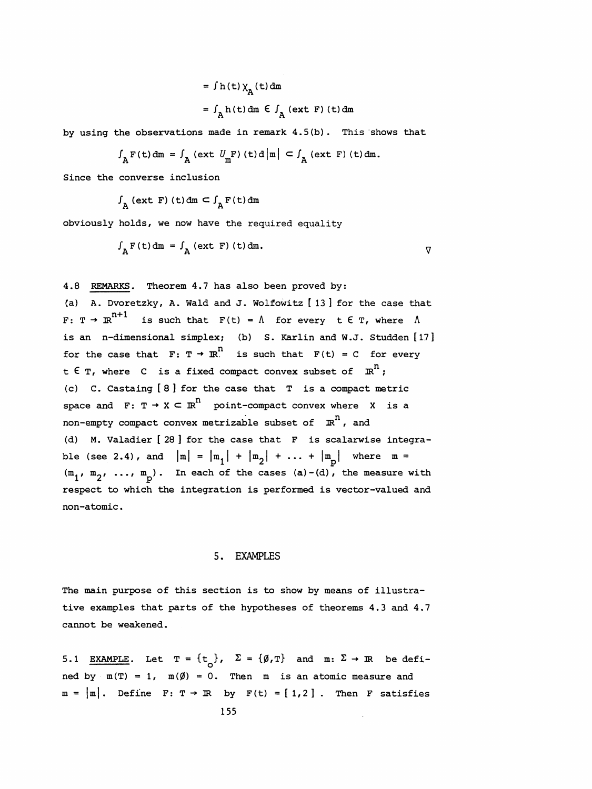$$
= f h(t) \chi_{A}(t) dm
$$
  

$$
= f_{A} h(t) dm \in f_{A} (ext F) (t) dm
$$

by using the observations made in remark 4.5(b) . This shows that

$$
\int_{A} \mathbf{F}(\mathbf{t}) \, \mathrm{d}\mathbf{m} = \int_{A} (\text{ext } U_{\mathbf{m}} \mathbf{F}) (\mathbf{t}) \, \mathrm{d} \, |\mathbf{m}| \, \subset \int_{A} (\text{ext } \mathbf{F}) (\mathbf{t}) \, \mathrm{d}\mathbf{m}.
$$

Since the converse inclusion  

$$
\int_{A} (\text{ext } F) (t) dm \subset \int_{A} F(t) dm
$$

obviously holds, we now have the required equality

$$
\int_{A} F(t) dm = \int_{A} (ext F) (t) dm.
$$

4.8 REMARKS. Theorem 4.7 has also been proved by:

 (a) A. Dvoretzky, A. Wald and J. Wolfowitz [ 13 ] for the case that F: T  $\rightarrow \mathbb{R}^{n+1}$  is such that  $F(t) = \Lambda$  for every  $t \in T$ , where  $\Lambda$  is an n-dimensional simplex; (b) S. Karlin and W.J. Studden [17] for the case that  $F: T \to \mathbb{R}^n$  is such that  $F(t) = C$  for every t  $\epsilon$  T, where  $\epsilon$  is a fixed compact convex subset of  $\mathbb{R}^n$ ; (c) C. Castaing [ 8 ] for the case that T is a compact metric space and F:  $T \rightarrow X \subseteq \mathbb{R}^n$  point-compact convex where X is a non-empty compact convex metrizable subset of  $\mathbb{R}^n$ , and (d) M. Valadier [ 28 ] for the case that F is scalarwise integra ble (see 2.4), and  $|m| = |m_1| + |m_2| + ... + |m_n|$  where  $m =$  $(m_1, m_2, ..., m_p)$ . In each of the cases (a)-(d), the measure with respect to which the integration is performed is vector-valued and non-atomic .

#### 5. EXAMPLES

 The main purpose of this section is to show by means of illustra tive examples that parts of the hypotheses of theorems 4.3 and 4.7 cannot be weakened.

5.1 EXAMPLE. Let  $T = \{t_{\alpha}\}\text{, } \quad \Sigma = \{\emptyset, T\}$  and  $m: \Sigma \rightarrow \mathbb{R}$  be defined by  $m(T) = 1$ ,  $m(\emptyset) = 0$ . Then m is an atomic measure and  $m = |m|$ . Define F: T  $\rightarrow$  IR by F(t) = [1,2]. Then F satisfies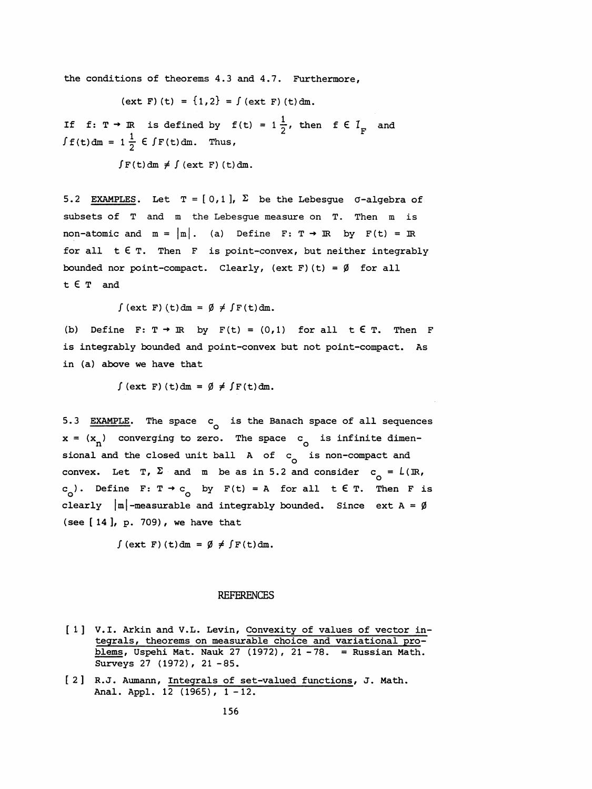the conditions of theorems 4.3 and 4.7. Furthermore,

$$
(ext F) (t) = \{1, 2\} = \int (ext F) (t) dm.
$$

If  $f: T \to \mathbb{R}$  is defined by  $f(t) = 1\frac{1}{2}$ , then  $f \in I_{\mathbb{R}}$  and 1 for  $\mathcal{L}$  and  $\mathcal{L}$  and  $\mathcal{L}$ 

 $\int F(t) dm \neq \int (ext F) (t) dm.$ 

5.2 EXAMPLES. Let  $T = [0,1]$ ,  $\Sigma$  be the Lebesgue  $\sigma$ -algebra of subsets of T and m the Lebesgue measure on T. Then m is non-atomic and  $m = |m|$ . (a) Define F: T  $\rightarrow$  IR by F(t) = IR for all  $t \in T$ . Then F is point-convex, but neither integrably bounded nor point-compact. Clearly, (ext F) (t) =  $\emptyset$  for all t € T and

 $\int$  (ext F) (t)dm =  $\emptyset \neq \int$  F(t)dm.

(b) Define F:  $T \rightarrow \mathbb{R}$  by  $F(t) = (0,1)$  for all  $t \in T$ . Then F is integrably bounded and point-convex but not point-compact. As in (a) above we have that

 $\int$  (ext F) (t)dm =  $\emptyset \neq \int$  F(t)dm.

5.3 EXAMPLE. The space  $c_{\alpha}$  is the Banach space of all sequences  $x = (x_n)$  converging to zero. The space c<sub>o</sub> is infinite dimensional and the closed unit ball A of  $c_{\alpha}$  is non-compact and convex. Let T,  $\Sigma$  and m be as in 5.2 and consider  $c_{\textsf{\scriptsize o}}^{}$  =  $L(\mathbb{R},$ 5.3 EXAMPLE. The space  $c_0$  is the Banach space of all sequences  $x = (x_n)$  converging to zero. The space  $c_0$  is infinite dimensional and the closed unit ball A of  $c_0$  is non-compact and convex. Let T,  $\Sigma$  and m be as c<sub>o</sub>). Define F:  $T \rightarrow c_0$  by F(t) = A for all t  $\epsilon$  T. Then F is ional and the closed u<br>onvex. Let T,  $\Sigma$  and<br>o<sup>)</sup>. Define F: T  $\rightarrow$  C<sub>O</sub><br>learly |m|-measurable (see [ 14 ], p. 709) , we have that

 $\int$  (ext F) (t)dm =  $\emptyset \neq \int$  F(t)dm.

#### REFERENCES

- [ 1] V.l. Arkin and V.L. Levin, Convexity of values of vector in tegrals, theorems on measurable choice and variational pro blems, Uspehi Mat. Nauk 27 (1972), 21 -78. = Russian Math. Surveys 27 (1972), 21 -85.
- [ 2 ] R.J. Aumann, Integrals of set-valued functions, J. Math. Anal. Appl. 12 (1965), 1-12.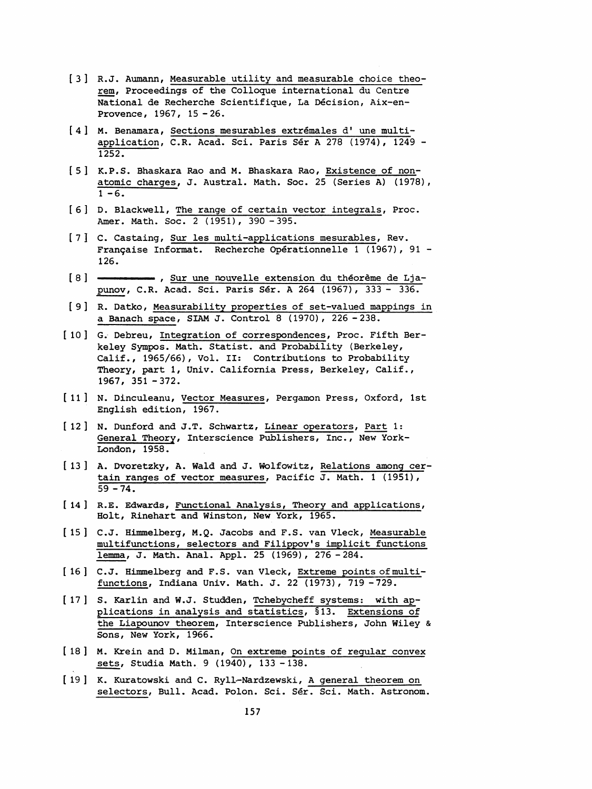- [ 3 ] R.J. Aumann, Measurable utility and measurable choice theo rem, Proceedings of the Colloque international du Centre National de Recherche Scientifique, La Décision, Aix-en- Provence, 1967, 15 -26.
- [4] M. Benamara, Sections mesurables extrémales d'une multi application, C.R. Acad. Sci. Paris Sér A 278 (1974), 1249 - 1252.
- [5] K.P.S. Bhaskara Rao and M. Bhaskara Rao, Existence of non atomic charges, J. Austral. Math. Soc. 25 (Series A) (1978),  $1 - 6.$
- [ 6 ] D. Blackwell, The range of certain vector integrals, Proc. Amer. Math. Soc. 2 (1951), 390 - 395.
- [ 7 ] C. Castaing, Sur les multi-applications mesurables, Rev. Française Informat. Recherche Opérationnelle 1 (1967), 91 - 126.
- [8] , Sur une nouvelle extension du théorème de Ljapunov, C.R. Acad. Sci. Paris Sér. A 264 (1967), 333 - 336.
- [ 9 ] R. Datko, Measurability properties of set-valued mappings in a Banach space, SIAM J. Control 8 (1970), 226 -238.
- [ 10] G. Debreu, Integration of correspondences, Proc. Fifth Ber keley Sympos. Math. Statist, and Probability (Berkeley, Calif., 1965/66), Vol. II: Contributions to Probability Theory, part 1, Univ. California Press, Berkeley, Calif.,  $1967, 351 - 372.$
- [ 11 ] N. Dinculeanu, Vector Measures , Pergamon Press, Oxford, 1st English edition, 1967.
- [ 12] N. Dunford and J.T. Schwartz, Linear operators, Part 1: General Theory, Interscience Publishers, Inc., New York- London, 1958.
- [ 13 ] A. Dvoretzky, A. Wald and J. Wolfowitz, Relations among cer tain ranges of vector measures, Pacific J. Math. 1 (1951) ,  $59 - 74.$
- [ 14 ] R.E. Edwards, Functional Analysis, Theory and applications, Holt, Rinehart and Winston, New York, 1965.
- [ 15 ] C.J. Himmelberg, M.Q. Jacobs and F.S. van Vleck, Measurable multifunctions, selectors and Filippov's implicit functions lemma, J. Math. Anal. Appl. 25 (1969), 276 -284.
- [16] C.J. Himmelberg and F.S. van Vleck, Extreme points of multifunctions, Indiana Univ. Math. J. 22 (1973), 719 -729.
- [ 17 ] S. Karlin and W.J. Studden, Tchebycheff systems; with ap plications in analysis and statistics, §13. Extensions of the Liapounov theorem, Interscience Publishers, John Wiley & Sons, New York, 1966.
- [ 18 ] M. Krein and D. Milman, On extreme points of regular convex sets, Studia Math. 9 (1940), 133 -138.
- [ 19 ] K. Kuratowski and C. Ryll-Nardzewski, A general theorem on selectors, Bull. Acad. Polon. Sci. Sér. Sci. Math. Astronom.